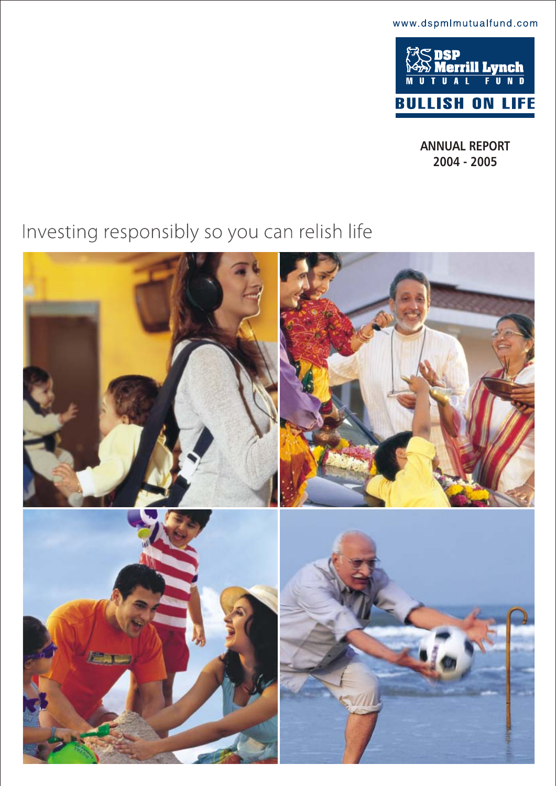www.dspmlmutualfund.com



**ANNUAL REPORT 2004 - 2005**

# Investing responsibly so you can relish life

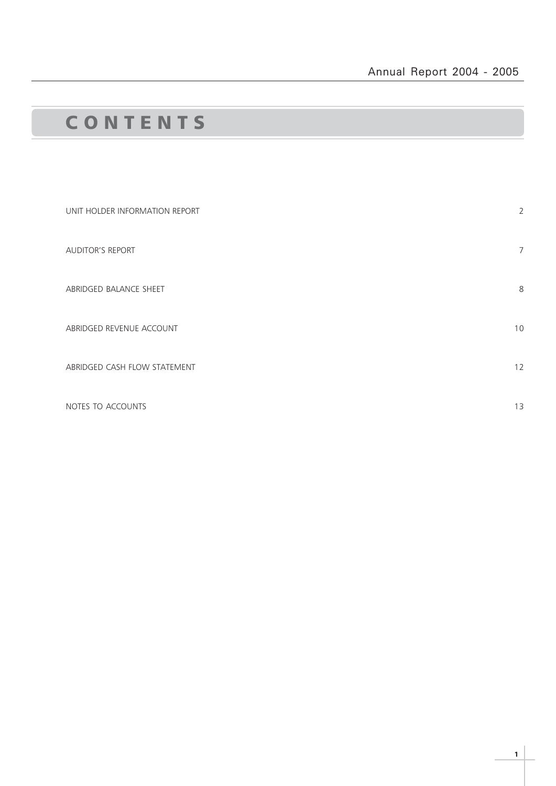## C O N T E N T S

| UNIT HOLDER INFORMATION REPORT | $\overline{2}$ |
|--------------------------------|----------------|
| <b>AUDITOR'S REPORT</b>        | $\overline{7}$ |
| ABRIDGED BALANCE SHEET         | 8              |
| ABRIDGED REVENUE ACCOUNT       | 10             |
| ABRIDGED CASH FLOW STATEMENT   | 12             |
| NOTES TO ACCOUNTS              | 13             |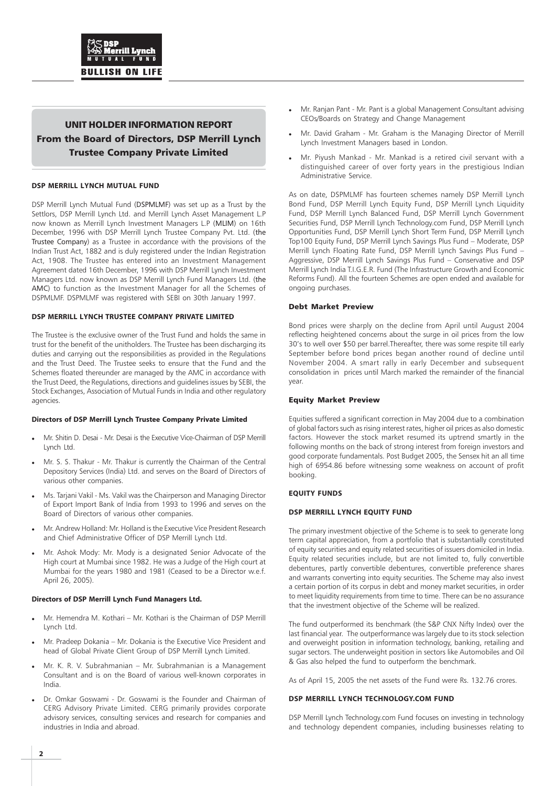## UNIT HOLDER INFORMATION REPORT From the Board of Directors, DSP Merrill Lynch Trustee Company Private Limited

#### **DSP MERRILL LYNCH MUTUAL FUND**

DSP Merrill Lynch Mutual Fund (DSPMLMF) was set up as a Trust by the Settlors, DSP Merrill Lynch Ltd. and Merrill Lynch Asset Management L.P now known as Merrill Lynch Investment Managers L.P (MLIM) on 16th December, 1996 with DSP Merrill Lynch Trustee Company Pvt. Ltd. (the Trustee Company) as a Trustee in accordance with the provisions of the Indian Trust Act, 1882 and is duly registered under the Indian Registration Act, 1908. The Trustee has entered into an Investment Management Agreement dated 16th December, 1996 with DSP Merrill Lynch Investment Managers Ltd. now known as DSP Merrill Lynch Fund Managers Ltd. (the AMC) to function as the Investment Manager for all the Schemes of DSPMLMF. DSPMLMF was registered with SEBI on 30th January 1997.

#### **DSP MERRILL LYNCH TRUSTEE COMPANY PRIVATE LIMITED**

The Trustee is the exclusive owner of the Trust Fund and holds the same in trust for the benefit of the unitholders. The Trustee has been discharging its duties and carrying out the responsibilities as provided in the Regulations and the Trust Deed. The Trustee seeks to ensure that the Fund and the Schemes floated thereunder are managed by the AMC in accordance with the Trust Deed, the Regulations, directions and guidelines issues by SEBI, the Stock Exchanges, Association of Mutual Funds in India and other regulatory agencies.

#### **Directors of DSP Merrill Lynch Trustee Company Private Limited**

- Mr. Shitin D. Desai Mr. Desai is the Executive Vice-Chairman of DSP Merrill Lynch Ltd.
- Mr. S. S. Thakur Mr. Thakur is currently the Chairman of the Central Depository Services (India) Ltd. and serves on the Board of Directors of various other companies.
- Ms. Tarjani Vakil Ms. Vakil was the Chairperson and Managing Director of Export Import Bank of India from 1993 to 1996 and serves on the Board of Directors of various other companies.
- Mr. Andrew Holland: Mr. Holland is the Executive Vice President Research and Chief Administrative Officer of DSP Merrill Lynch Ltd.
- Mr. Ashok Mody: Mr. Mody is a designated Senior Advocate of the High court at Mumbai since 1982. He was a Judge of the High court at Mumbai for the years 1980 and 1981 (Ceased to be a Director w.e.f. April 26, 2005).

#### **Directors of DSP Merrill Lynch Fund Managers Ltd.**

- Mr. Hemendra M. Kothari Mr. Kothari is the Chairman of DSP Merrill Lynch Ltd.
- Mr. Pradeep Dokania Mr. Dokania is the Executive Vice President and head of Global Private Client Group of DSP Merrill Lynch Limited.
- Mr. K. R. V. Subrahmanian Mr. Subrahmanian is a Management Consultant and is on the Board of various well-known corporates in India.
- Dr. Omkar Goswami Dr. Goswami is the Founder and Chairman of CERG Advisory Private Limited. CERG primarily provides corporate advisory services, consulting services and research for companies and industries in India and abroad.
- Mr. Ranjan Pant Mr. Pant is a global Management Consultant advising CEOs/Boards on Strategy and Change Management
- Mr. David Graham Mr. Graham is the Managing Director of Merrill Lynch Investment Managers based in London.
- Mr. Piyush Mankad Mr. Mankad is a retired civil servant with a distinguished career of over forty years in the prestigious Indian Administrative Service.

As on date, DSPMLMF has fourteen schemes namely DSP Merrill Lynch Bond Fund, DSP Merrill Lynch Equity Fund, DSP Merrill Lynch Liquidity Fund, DSP Merrill Lynch Balanced Fund, DSP Merrill Lynch Government Securities Fund, DSP Merrill Lynch Technology.com Fund, DSP Merrill Lynch Opportunities Fund, DSP Merrill Lynch Short Term Fund, DSP Merrill Lynch Top100 Equity Fund, DSP Merrill Lynch Savings Plus Fund – Moderate, DSP Merrill Lynch Floating Rate Fund, DSP Merrill Lynch Savings Plus Fund – Aggressive, DSP Merrill Lynch Savings Plus Fund – Conservative and DSP Merrill Lynch India T.I.G.E.R. Fund (The Infrastructure Growth and Economic Reforms Fund). All the fourteen Schemes are open ended and available for ongoing purchases.

#### Debt Market Preview

Bond prices were sharply on the decline from April until August 2004 reflecting heightened concerns about the surge in oil prices from the low 30's to well over \$50 per barrel.Thereafter, there was some respite till early September before bond prices began another round of decline until November 2004. A smart rally in early December and subsequent consolidation in prices until March marked the remainder of the financial year.

#### Equity Market Preview

Equities suffered a significant correction in May 2004 due to a combination of global factors such as rising interest rates, higher oil prices as also domestic factors. However the stock market resumed its uptrend smartly in the following months on the back of strong interest from foreign investors and good corporate fundamentals. Post Budget 2005, the Sensex hit an all time high of 6954.86 before witnessing some weakness on account of profit booking.

#### **EQUITY FUNDS**

#### **DSP MERRILL LYNCH EQUITY FUND**

The primary investment objective of the Scheme is to seek to generate long term capital appreciation, from a portfolio that is substantially constituted of equity securities and equity related securities of issuers domiciled in India. Equity related securities include, but are not limited to, fully convertible debentures, partly convertible debentures, convertible preference shares and warrants converting into equity securities. The Scheme may also invest a certain portion of its corpus in debt and money market securities, in order to meet liquidity requirements from time to time. There can be no assurance that the investment objective of the Scheme will be realized.

The fund outperformed its benchmark (the S&P CNX Nifty Index) over the last financial year. The outperformance was largely due to its stock selection and overweight position in information technology, banking, retailing and sugar sectors. The underweight position in sectors like Automobiles and Oil & Gas also helped the fund to outperform the benchmark.

As of April 15, 2005 the net assets of the Fund were Rs. 132.76 crores.

#### **DSP MERRILL LYNCH TECHNOLOGY.COM FUND**

DSP Merrill Lynch Technology.com Fund focuses on investing in technology and technology dependent companies, including businesses relating to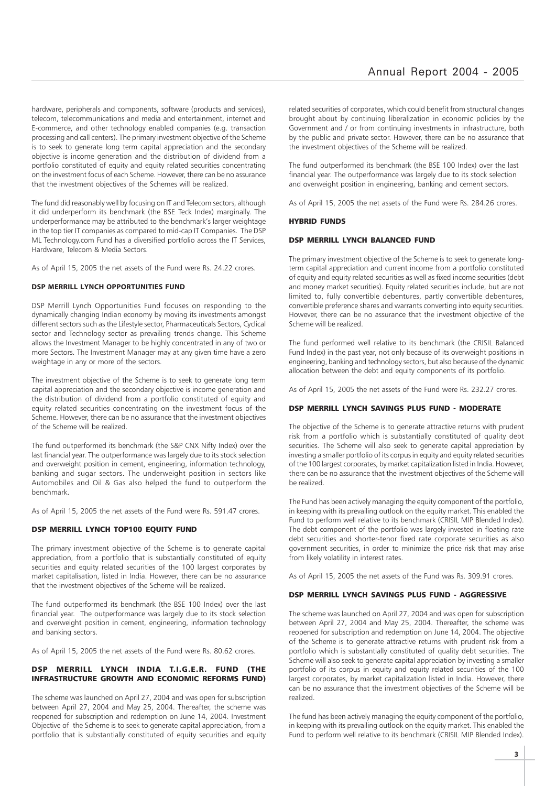hardware, peripherals and components, software (products and services), telecom, telecommunications and media and entertainment, internet and E-commerce, and other technology enabled companies (e.g. transaction processing and call centers). The primary investment objective of the Scheme is to seek to generate long term capital appreciation and the secondary objective is income generation and the distribution of dividend from a portfolio constituted of equity and equity related securities concentrating on the investment focus of each Scheme. However, there can be no assurance that the investment objectives of the Schemes will be realized.

The fund did reasonably well by focusing on IT and Telecom sectors, although it did underperform its benchmark (the BSE Teck Index) marginally. The underperformance may be attributed to the benchmark's larger weightage in the top tier IT companies as compared to mid-cap IT Companies. The DSP ML Technology.com Fund has a diversified portfolio across the IT Services, Hardware, Telecom & Media Sectors.

As of April 15, 2005 the net assets of the Fund were Rs. 24.22 crores.

#### **DSP MERRILL LYNCH OPPORTUNITIES FUND**

DSP Merrill Lynch Opportunities Fund focuses on responding to the dynamically changing Indian economy by moving its investments amongst different sectors such as the Lifestyle sector, Pharmaceuticals Sectors, Cyclical sector and Technology sector as prevailing trends change. This Scheme allows the Investment Manager to be highly concentrated in any of two or more Sectors. The Investment Manager may at any given time have a zero weightage in any or more of the sectors.

The investment objective of the Scheme is to seek to generate long term capital appreciation and the secondary objective is income generation and the distribution of dividend from a portfolio constituted of equity and equity related securities concentrating on the investment focus of the Scheme. However, there can be no assurance that the investment objectives of the Scheme will be realized.

The fund outperformed its benchmark (the S&P CNX Nifty Index) over the last financial year. The outperformance was largely due to its stock selection and overweight position in cement, engineering, information technology, banking and sugar sectors. The underweight position in sectors like Automobiles and Oil & Gas also helped the fund to outperform the benchmark.

As of April 15, 2005 the net assets of the Fund were Rs. 591.47 crores.

#### DSP MERRILL LYNCH TOP100 EQUITY FUND

The primary investment objective of the Scheme is to generate capital appreciation, from a portfolio that is substantially constituted of equity securities and equity related securities of the 100 largest corporates by market capitalisation, listed in India. However, there can be no assurance that the investment objectives of the Scheme will be realized.

The fund outperformed its benchmark (the BSE 100 Index) over the last financial year. The outperformance was largely due to its stock selection and overweight position in cement, engineering, information technology and banking sectors.

As of April 15, 2005 the net assets of the Fund were Rs. 80.62 crores.

#### DSP MERRILL LYNCH INDIA T.I.G.E.R. FUND (THE INFRASTRUCTURE GROWTH AND ECONOMIC REFORMS FUND)

The scheme was launched on April 27, 2004 and was open for subscription between April 27, 2004 and May 25, 2004. Thereafter, the scheme was reopened for subscription and redemption on June 14, 2004. Investment Objective of the Scheme is to seek to generate capital appreciation, from a portfolio that is substantially constituted of equity securities and equity

related securities of corporates, which could benefit from structural changes brought about by continuing liberalization in economic policies by the Government and / or from continuing investments in infrastructure, both by the public and private sector. However, there can be no assurance that the investment objectives of the Scheme will be realized.

The fund outperformed its benchmark (the BSE 100 Index) over the last financial year. The outperformance was largely due to its stock selection and overweight position in engineering, banking and cement sectors.

As of April 15, 2005 the net assets of the Fund were Rs. 284.26 crores.

#### HYBRID FUNDS

#### DSP MERRILL LYNCH BALANCED FUND

The primary investment objective of the Scheme is to seek to generate longterm capital appreciation and current income from a portfolio constituted of equity and equity related securities as well as fixed income securities (debt and money market securities). Equity related securities include, but are not limited to, fully convertible debentures, partly convertible debentures, convertible preference shares and warrants converting into equity securities. However, there can be no assurance that the investment objective of the Scheme will be realized.

The fund performed well relative to its benchmark (the CRISIL Balanced Fund Index) in the past year, not only because of its overweight positions in engineering, banking and technology sectors, but also because of the dynamic allocation between the debt and equity components of its portfolio.

As of April 15, 2005 the net assets of the Fund were Rs. 232.27 crores.

#### DSP MERRILL LYNCH SAVINGS PLUS FUND - MODERATE

The objective of the Scheme is to generate attractive returns with prudent risk from a portfolio which is substantially constituted of quality debt securities. The Scheme will also seek to generate capital appreciation by investing a smaller portfolio of its corpus in equity and equity related securities of the 100 largest corporates, by market capitalization listed in India. However, there can be no assurance that the investment objectives of the Scheme will be realized.

The Fund has been actively managing the equity component of the portfolio, in keeping with its prevailing outlook on the equity market. This enabled the Fund to perform well relative to its benchmark (CRISIL MIP Blended Index). The debt component of the portfolio was largely invested in floating rate debt securities and shorter-tenor fixed rate corporate securities as also government securities, in order to minimize the price risk that may arise from likely volatility in interest rates.

As of April 15, 2005 the net assets of the Fund was Rs. 309.91 crores.

#### DSP MERRILL LYNCH SAVINGS PLUS FUND - AGGRESSIVE

The scheme was launched on April 27, 2004 and was open for subscription between April 27, 2004 and May 25, 2004. Thereafter, the scheme was reopened for subscription and redemption on June 14, 2004. The objective of the Scheme is to generate attractive returns with prudent risk from a portfolio which is substantially constituted of quality debt securities. The Scheme will also seek to generate capital appreciation by investing a smaller portfolio of its corpus in equity and equity related securities of the 100 largest corporates, by market capitalization listed in India. However, there can be no assurance that the investment objectives of the Scheme will be realized.

The fund has been actively managing the equity component of the portfolio, in keeping with its prevailing outlook on the equity market. This enabled the Fund to perform well relative to its benchmark (CRISIL MIP Blended Index).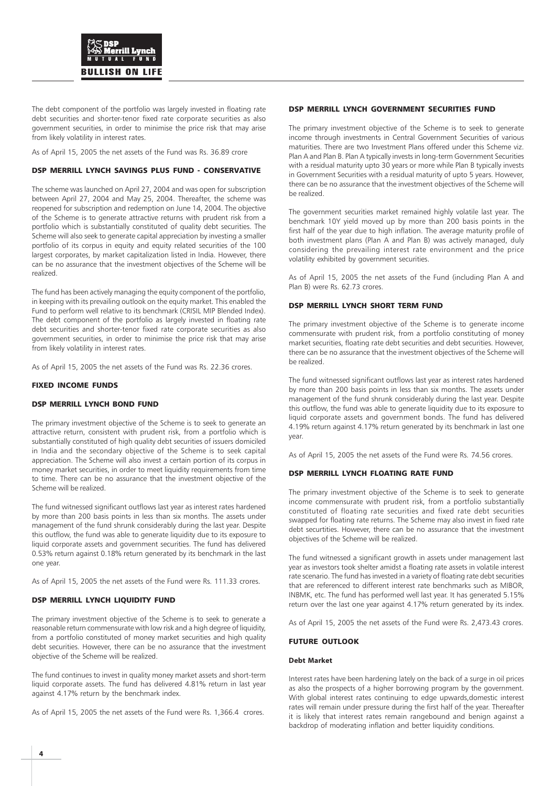

The debt component of the portfolio was largely invested in floating rate debt securities and shorter-tenor fixed rate corporate securities as also government securities, in order to minimise the price risk that may arise from likely volatility in interest rates.

As of April 15, 2005 the net assets of the Fund was Rs. 36.89 crore

#### DSP MERRILL LYNCH SAVINGS PLUS FUND - CONSERVATIVE

The scheme was launched on April 27, 2004 and was open for subscription between April 27, 2004 and May 25, 2004. Thereafter, the scheme was reopened for subscription and redemption on June 14, 2004. The objective of the Scheme is to generate attractive returns with prudent risk from a portfolio which is substantially constituted of quality debt securities. The Scheme will also seek to generate capital appreciation by investing a smaller portfolio of its corpus in equity and equity related securities of the 100 largest corporates, by market capitalization listed in India. However, there can be no assurance that the investment objectives of the Scheme will be realized.

The fund has been actively managing the equity component of the portfolio, in keeping with its prevailing outlook on the equity market. This enabled the Fund to perform well relative to its benchmark (CRISIL MIP Blended Index). The debt component of the portfolio as largely invested in floating rate debt securities and shorter-tenor fixed rate corporate securities as also government securities, in order to minimise the price risk that may arise from likely volatility in interest rates.

As of April 15, 2005 the net assets of the Fund was Rs. 22.36 crores.

#### FIXED INCOME FUNDS

#### DSP MERRILL LYNCH BOND FUND

The primary investment objective of the Scheme is to seek to generate an attractive return, consistent with prudent risk, from a portfolio which is substantially constituted of high quality debt securities of issuers domiciled in India and the secondary objective of the Scheme is to seek capital appreciation. The Scheme will also invest a certain portion of its corpus in money market securities, in order to meet liquidity requirements from time to time. There can be no assurance that the investment objective of the Scheme will be realized.

The fund witnessed significant outflows last year as interest rates hardened by more than 200 basis points in less than six months. The assets under management of the fund shrunk considerably during the last year. Despite this outflow, the fund was able to generate liquidity due to its exposure to liquid corporate assets and government securities. The fund has delivered 0.53% return against 0.18% return generated by its benchmark in the last one year.

As of April 15, 2005 the net assets of the Fund were Rs. 111.33 crores.

#### DSP MERRILL LYNCH LIQUIDITY FUND

The primary investment objective of the Scheme is to seek to generate a reasonable return commensurate with low risk and a high degree of liquidity, from a portfolio constituted of money market securities and high quality debt securities. However, there can be no assurance that the investment objective of the Scheme will be realized.

The fund continues to invest in quality money market assets and short-term liquid corporate assets. The fund has delivered 4.81% return in last year against 4.17% return by the benchmark index.

As of April 15, 2005 the net assets of the Fund were Rs. 1,366.4 crores.

#### DSP MERRILL LYNCH GOVERNMENT SECURITIES FUND

The primary investment objective of the Scheme is to seek to generate income through investments in Central Government Securities of various maturities. There are two Investment Plans offered under this Scheme viz. Plan A and Plan B. Plan A typically invests in long-term Government Securities with a residual maturity upto 30 years or more while Plan B typically invests in Government Securities with a residual maturity of upto 5 years. However, there can be no assurance that the investment objectives of the Scheme will be realized.

The government securities market remained highly volatile last year. The benchmark 10Y yield moved up by more than 200 basis points in the first half of the year due to high inflation. The average maturity profile of both investment plans (Plan A and Plan B) was actively managed, duly considering the prevailing interest rate environment and the price volatility exhibited by government securities.

As of April 15, 2005 the net assets of the Fund (including Plan A and Plan B) were Rs. 62.73 crores.

#### DSP MERRILL LYNCH SHORT TERM FUND

The primary investment objective of the Scheme is to generate income commensurate with prudent risk, from a portfolio constituting of money market securities, floating rate debt securities and debt securities. However, there can be no assurance that the investment objectives of the Scheme will be realized.

The fund witnessed significant outflows last year as interest rates hardened by more than 200 basis points in less than six months. The assets under management of the fund shrunk considerably during the last year. Despite this outflow, the fund was able to generate liquidity due to its exposure to liquid corporate assets and government bonds. The fund has delivered 4.19% return against 4.17% return generated by its benchmark in last one year.

As of April 15, 2005 the net assets of the Fund were Rs. 74.56 crores.

#### DSP MERRILL LYNCH FLOATING RATE FUND

The primary investment objective of the Scheme is to seek to generate income commensurate with prudent risk, from a portfolio substantially constituted of floating rate securities and fixed rate debt securities swapped for floating rate returns. The Scheme may also invest in fixed rate debt securtities. However, there can be no assurance that the investment objectives of the Scheme will be realized.

The fund witnessed a significant growth in assets under management last year as investors took shelter amidst a floating rate assets in volatile interest rate scenario. The fund has invested in a variety of floating rate debt securities that are referenced to different interest rate benchmarks such as MIBOR, INBMK, etc. The fund has performed well last year. It has generated 5.15% return over the last one year against 4.17% return generated by its index.

As of April 15, 2005 the net assets of the Fund were Rs. 2,473.43 crores.

#### FUTURE OUTLOOK

#### **Debt Market**

Interest rates have been hardening lately on the back of a surge in oil prices as also the prospects of a higher borrowing program by the government. With global interest rates continuing to edge upwards,domestic interest rates will remain under pressure during the first half of the year. Thereafter it is likely that interest rates remain rangebound and benign against a backdrop of moderating inflation and better liquidity conditions.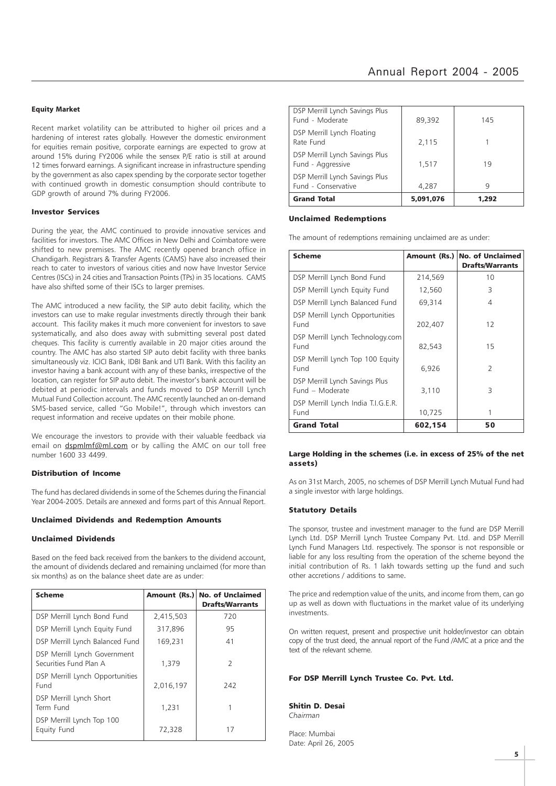#### **Equity Market**

Recent market volatility can be attributed to higher oil prices and a hardening of interest rates globally. However the domestic environment for equities remain positive, corporate earnings are expected to grow at around 15% during FY2006 while the sensex P/E ratio is still at around 12 times forward earnings. A significant increase in infrastructure spending by the government as also capex spending by the corporate sector together with continued growth in domestic consumption should contribute to GDP growth of around 7% during FY2006.

#### Investor Services

During the year, the AMC continued to provide innovative services and facilities for investors. The AMC Offices in New Delhi and Coimbatore were shifted to new premises. The AMC recently opened branch office in Chandigarh. Registrars & Transfer Agents (CAMS) have also increased their reach to cater to investors of various cities and now have Investor Service Centres (ISCs) in 24 cities and Transaction Points (TPs) in 35 locations. CAMS have also shifted some of their ISCs to larger premises.

The AMC introduced a new facility, the SIP auto debit facility, which the investors can use to make regular investments directly through their bank account. This facility makes it much more convenient for investors to save systematically, and also does away with submitting several post dated cheques. This facility is currently available in 20 major cities around the country. The AMC has also started SIP auto debit facility with three banks simultaneously viz. ICICI Bank, IDBI Bank and UTI Bank. With this facility an investor having a bank account with any of these banks, irrespective of the location, can register for SIP auto debit. The investor's bank account will be debited at periodic intervals and funds moved to DSP Merrill Lynch Mutual Fund Collection account. The AMC recently launched an on-demand SMS-based service, called "Go Mobile!", through which investors can request information and receive updates on their mobile phone.

We encourage the investors to provide with their valuable feedback via email on dspmlmf@ml.com or by calling the AMC on our toll free number 1600 33 4499.

#### Distribution of Income

The fund has declared dividends in some of the Schemes during the Financial Year 2004-2005. Details are annexed and forms part of this Annual Report.

#### Unclaimed Dividends and Redemption Amounts

#### Unclaimed Dividends

Based on the feed back received from the bankers to the dividend account, the amount of dividends declared and remaining unclaimed (for more than six months) as on the balance sheet date are as under:

| <b>Scheme</b>                                          |           | Amount (Rs.) No. of Unclaimed<br><b>Drafts/Warrants</b> |
|--------------------------------------------------------|-----------|---------------------------------------------------------|
| DSP Merrill Lynch Bond Fund                            | 2,415,503 | 720                                                     |
| DSP Merrill Lynch Equity Fund                          | 317,896   | 95                                                      |
| DSP Merrill Lynch Balanced Fund                        | 169,231   | 41                                                      |
| DSP Merrill Lynch Government<br>Securities Fund Plan A | 1.379     | $\mathcal{P}$                                           |
| DSP Merrill Lynch Opportunities<br>Fund                | 2,016,197 | 242                                                     |
| DSP Merrill Lynch Short<br>Term Fund                   | 1,231     |                                                         |
| DSP Merrill Lynch Top 100<br>Equity Fund               | 72,328    | 17                                                      |

| <b>Grand Total</b>                                       | 5.091.076 | 1,292 |
|----------------------------------------------------------|-----------|-------|
| DSP Merrill Lynch Savings Plus<br>Fund - Conservative    | 4,287     | q     |
| DSP Merrill Lynch Savings Plus<br>Fund - Aggressive      | 1.517     | 19    |
| DSP Merrill Lynch Floating<br>Rate Fund                  | 2,115     |       |
| <b>DSP Merrill Lynch Savings Plus</b><br>Fund - Moderate | 89,392    | 145   |

#### Unclaimed Redemptions

The amount of redemptions remaining unclaimed are as under:

| <b>Scheme</b>                                     |         | Amount (Rs.) No. of Unclaimed<br><b>Drafts/Warrants</b> |
|---------------------------------------------------|---------|---------------------------------------------------------|
| DSP Merrill Lynch Bond Fund                       | 214,569 | 10                                                      |
| DSP Merrill Lynch Equity Fund                     | 12,560  | 3                                                       |
| DSP Merrill Lynch Balanced Fund                   | 69,314  | 4                                                       |
| DSP Merrill Lynch Opportunities<br>Fund           | 202,407 | 12                                                      |
| DSP Merrill Lynch Technology.com<br>Fund          | 82,543  | 15                                                      |
| DSP Merrill Lynch Top 100 Equity<br>Fund          | 6,926   | $\mathcal{P}$                                           |
| DSP Merrill Lynch Savings Plus<br>Fund - Moderate | 3,110   | 3                                                       |
| DSP Merrill Lynch India T.I.G.E.R.<br>Fund        | 10,725  |                                                         |
| <b>Grand Total</b>                                | 602,154 | 50                                                      |

#### Large Holding in the schemes (i.e. in excess of 25% of the net assets)

As on 31st March, 2005, no schemes of DSP Merrill Lynch Mutual Fund had a single investor with large holdings.

#### Statutory Details

The sponsor, trustee and investment manager to the fund are DSP Merrill Lynch Ltd. DSP Merrill Lynch Trustee Company Pvt. Ltd. and DSP Merrill Lynch Fund Managers Ltd. respectively. The sponsor is not responsible or liable for any loss resulting from the operation of the scheme beyond the initial contribution of Rs. 1 lakh towards setting up the fund and such other accretions / additions to same.

The price and redemption value of the units, and income from them, can go up as well as down with fluctuations in the market value of its underlying investments.

On written request, present and prospective unit holder/investor can obtain copy of the trust deed, the annual report of the Fund /AMC at a price and the text of the relevant scheme.

#### For DSP Merrill Lynch Trustee Co. Pvt. Ltd.

Shitin D. Desai Chairman

Place: Mumbai Date: April 26, 2005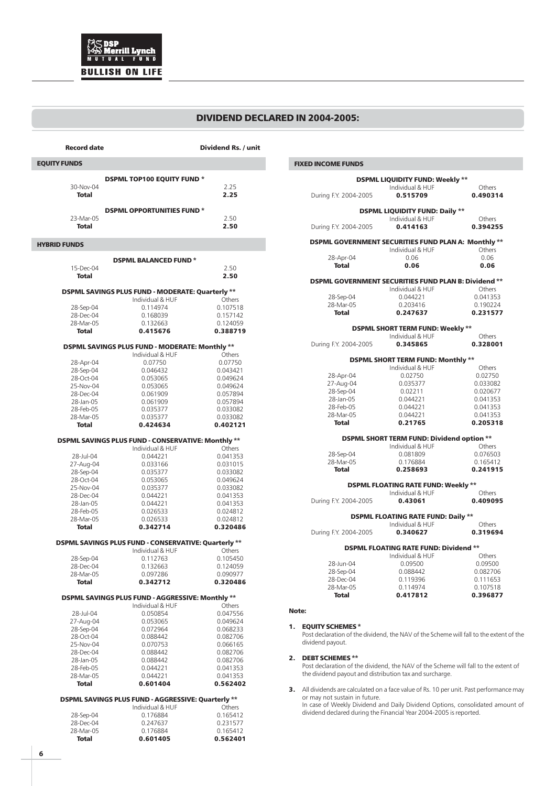### DIVIDEND DECLARED IN 2004-2005:

| <b>Record date</b>        |                                                                        | Dividend Rs. / unit  |  |  |  |  |
|---------------------------|------------------------------------------------------------------------|----------------------|--|--|--|--|
| <b>EQUITY FUNDS</b>       |                                                                        |                      |  |  |  |  |
|                           | <b>DSPML TOP100 EQUITY FUND *</b>                                      |                      |  |  |  |  |
| 30-Nov-04<br><b>Total</b> |                                                                        | 2.25<br>2.25         |  |  |  |  |
|                           |                                                                        |                      |  |  |  |  |
| 23-Mar-05                 | <b>DSPML OPPORTUNITIES FUND*</b>                                       | 2.50                 |  |  |  |  |
| Total                     |                                                                        | 2.50                 |  |  |  |  |
| <b>HYBRID FUNDS</b>       |                                                                        |                      |  |  |  |  |
|                           | <b>DSPML BALANCED FUND*</b>                                            |                      |  |  |  |  |
| 15-Dec-04<br><b>Total</b> |                                                                        | 2.50<br>2.50         |  |  |  |  |
|                           | DSPML SAVINGS PLUS FUND - MODERATE: Quarterly **                       |                      |  |  |  |  |
|                           | Individual & HUF                                                       | Others               |  |  |  |  |
| 28-Sep-04<br>28-Dec-04    | 0.114974<br>0.168039                                                   | 0.107518<br>0.157142 |  |  |  |  |
| 28-Mar-05                 | 0.132663                                                               | 0.124059             |  |  |  |  |
| Total                     | 0.415676                                                               | 0.388719             |  |  |  |  |
|                           | DSPML SAVINGS PLUS FUND - MODERATE: Monthly **                         |                      |  |  |  |  |
|                           | Individual & HUF                                                       | Others               |  |  |  |  |
| 28-Apr-04<br>28-Sep-04    | 0.07750<br>0.046432                                                    | 0.07750<br>0.043421  |  |  |  |  |
| 28-Oct-04                 | 0.053065                                                               | 0.049624             |  |  |  |  |
| 25-Nov-04                 | 0.053065                                                               | 0.049624             |  |  |  |  |
| 28-Dec-04                 | 0.061909                                                               | 0.057894             |  |  |  |  |
| 28-Jan-05                 | 0.061909                                                               | 0.057894             |  |  |  |  |
| 28-Feb-05                 | 0.035377                                                               | 0.033082             |  |  |  |  |
| 28-Mar-05                 | 0.035377                                                               | 0.033082             |  |  |  |  |
| <b>Total</b>              | 0.424634                                                               | 0.402121             |  |  |  |  |
|                           | DSPML SAVINGS PLUS FUND - CONSERVATIVE: Monthly **<br>Individual & HUF | Others               |  |  |  |  |
| 28-Jul-04                 | 0.044221                                                               | 0.041353             |  |  |  |  |
| 27-Aug-04                 | 0.033166                                                               | 0.031015             |  |  |  |  |
| 28-Sep-04                 | 0.035377                                                               | 0.033082             |  |  |  |  |
| 28-Oct-04                 | 0.053065                                                               | 0.049624             |  |  |  |  |
| 25-Nov-04                 | 0.035377                                                               | 0.033082             |  |  |  |  |
| 28-Dec-04<br>28-Jan-05    | 0.044221<br>0.044221                                                   | 0.041353<br>0.041353 |  |  |  |  |
| 28-Feb-05                 | 0.026533                                                               | 0.024812             |  |  |  |  |
| 28-Mar-05                 | 0.026533                                                               | 0.024812             |  |  |  |  |
| Total                     | 0.342714                                                               | 0.320486             |  |  |  |  |
|                           | DSPML SAVINGS PLUS FUND - CONSERVATIVE: Quarterly **                   |                      |  |  |  |  |
| 28-Sep-04                 | Individual & HUF<br>0.112763                                           | Others<br>0.105450   |  |  |  |  |
| 28-Dec-04                 | 0.132663                                                               | 0.124059             |  |  |  |  |
| 28-Mar-05                 | 0.097286                                                               | 0.090977             |  |  |  |  |
| <b>Total</b>              | 0.342712                                                               | 0.320486             |  |  |  |  |
|                           | DSPML SAVINGS PLUS FUND - AGGRESSIVE: Monthly **                       |                      |  |  |  |  |
|                           | Individual & HUF                                                       | Others               |  |  |  |  |
| 28-Jul-04                 | 0.050854                                                               | 0.047556             |  |  |  |  |
| 27-Aug-04<br>28-Sep-04    | 0.053065<br>0.072964                                                   | 0.049624<br>0.068233 |  |  |  |  |
| 28-Oct-04                 | 0.088442                                                               | 0.082706             |  |  |  |  |
| 25-Nov-04                 | 0.070753                                                               | 0.066165             |  |  |  |  |
| 28-Dec-04                 | 0.088442                                                               | 0.082706             |  |  |  |  |
| 28-Jan-05                 | 0.088442                                                               | 0.082706             |  |  |  |  |
| 28-Feb-05                 | 0.044221                                                               | 0.041353             |  |  |  |  |
| 28-Mar-05<br><b>Total</b> | 0.044221<br>0.601404                                                   | 0.041353<br>0.562402 |  |  |  |  |
|                           | DSPML SAVINGS PLUS FUND - AGGRESSIVE: Quarterly **                     |                      |  |  |  |  |
|                           | Individual & HUF                                                       | Others               |  |  |  |  |
| 28-Sep-04                 | 0.176884                                                               | 0.165412             |  |  |  |  |
| 28-Dec-04                 | 0.247637                                                               | 0.231577             |  |  |  |  |
| 28-Mar-05                 | 0.176884                                                               | 0.165412             |  |  |  |  |
| <b>Total</b>              | 0.601405                                                               | 0.562401             |  |  |  |  |

| <b>FIXED INCOME FUNDS</b>                           |                                                      |          |
|-----------------------------------------------------|------------------------------------------------------|----------|
|                                                     | <b>DSPML LIQUIDITY FUND: Weekly **</b>               |          |
|                                                     | Individual & HUF                                     | Others   |
| During F.Y. 2004-2005                               | 0.515709                                             | 0.490314 |
|                                                     | <b>DSPML LIQUIDITY FUND: Daily **</b>                |          |
|                                                     | Individual & HUF                                     | Others   |
| During F.Y. 2004-2005                               | 0.414163                                             | 0.394255 |
| DSPML GOVERNMENT SECURITIES FUND PLAN A: Monthly ** |                                                      |          |
|                                                     | Individual & HUF                                     | Others   |
| 28-Apr-04                                           | 0.06                                                 | 0.06     |
| <b>Total</b>                                        | 0.06                                                 | 0.06     |
|                                                     | DSPML GOVERNMENT SECURITIES FUND PLAN B: Dividend ** |          |
|                                                     | Individual & HUF                                     | Others   |
| 28-Sep-04                                           | 0.044221                                             | 0.041353 |
| 28-Mar-05                                           | 0.203416                                             | 0.190224 |
| <b>Total</b>                                        | 0.247637                                             | 0.231577 |
|                                                     | <b>DSPML SHORT TERM FUND: Weekly **</b>              |          |
|                                                     | Individual & HUF                                     | Others   |
| During F.Y. 2004-2005                               | 0.345865                                             | 0.328001 |
|                                                     | DSPML SHORT TERM FUND: Monthly **                    |          |
|                                                     | Individual & HUF                                     | Others   |
| 28-Apr-04                                           | 0.02750                                              | 0.02750  |
| 27-Aug-04                                           | 0.035377                                             | 0.033082 |
| 28-Sep-04                                           | 0.02211                                              | 0.020677 |
| 28-Jan-05                                           | 0.044221                                             | 0.041353 |
| 28-Feb-05                                           | 0.044221                                             | 0.041353 |
| 28-Mar-05                                           | 0.044221                                             | 0.041353 |
| <b>Total</b>                                        | 0.21765                                              | 0.205318 |
|                                                     | <b>DSPML SHORT TERM FUND: Dividend option **</b>     |          |
|                                                     | Individual & HUF                                     | Others   |
| 28-Sep-04                                           | 0.081809                                             | 0.076503 |
| 28-Mar-05                                           | 0.176884                                             | 0.165412 |
| <b>Total</b>                                        | 0.258693                                             | 0.241915 |
|                                                     | <b>DSPML FLOATING RATE FUND: Weekly **</b>           |          |
|                                                     | Individual & HUF                                     | Others   |
| During F.Y. 2004-2005                               | 0.43061                                              | 0.409095 |
|                                                     | <b>DSPML FLOATING RATE FUND: Daily **</b>            |          |
|                                                     | Individual & HUF                                     | Others   |
| During F.Y. 2004-2005                               | 0.340627                                             | 0.319694 |
|                                                     | <b>DSPML FLOATING RATE FUND: Dividend **</b>         |          |
|                                                     | Individual & HUF                                     | Others   |
| 28-Jun-04                                           | 0.09500                                              | 0.09500  |
| 28-Sep-04                                           | 0.088442                                             | 0.082706 |
| 28-Dec-04                                           | 0.119396                                             | 0.111653 |
| 28-Mar-05                                           | 0.114974                                             | 0.107518 |
| <b>Total</b>                                        | 0.417812                                             | 0.396877 |

#### Note:

#### 1. EQUITY SCHEMES \*

Post declaration of the dividend, the NAV of the Scheme will fall to the extent of the dividend payout.

#### 2. DEBT SCHEMES \*\*

Post declaration of the dividend, the NAV of the Scheme will fall to the extent of the dividend payout and distribution tax and surcharge.

3. All dividends are calculated on a face value of Rs. 10 per unit. Past performance may or may not sustain in future. In case of Weekly Dividend and Daily Dividend Options, consolidated amount of

dividend declared during the Financial Year 2004-2005 is reported.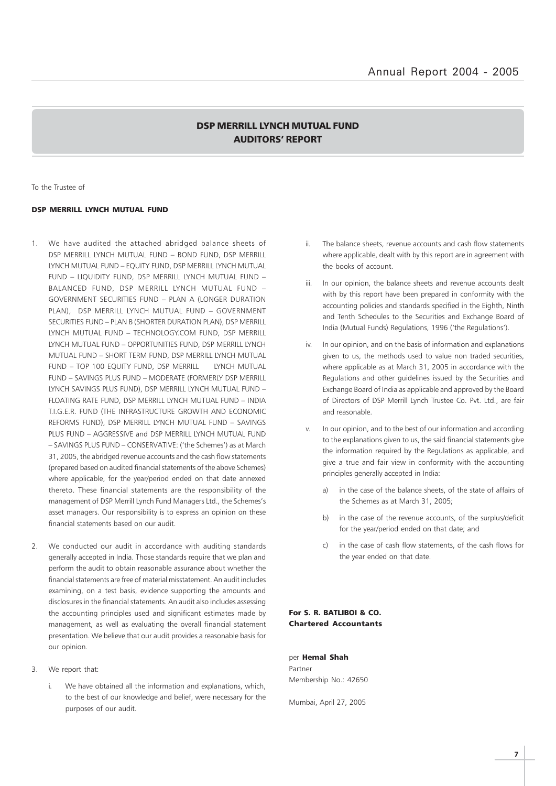## DSP MERRILL LYNCH MUTUAL FUND AUDITORS' REPORT

To the Trustee of

#### DSP MERRILL LYNCH MUTUAL FUND

- 1. We have audited the attached abridged balance sheets of DSP MERRILL LYNCH MUTUAL FUND – BOND FUND, DSP MERRILL LYNCH MUTUAL FUND – EQUITY FUND, DSP MERRILL LYNCH MUTUAL FUND – LIQUIDITY FUND, DSP MERRILL LYNCH MUTUAL FUND – BALANCED FUND, DSP MERRILL LYNCH MUTUAL FUND – GOVERNMENT SECURITIES FUND – PLAN A (LONGER DURATION PLAN), DSP MERRILL LYNCH MUTUAL FUND – GOVERNMENT SECURITIES FUND – PLAN B (SHORTER DURATION PLAN), DSP MERRILL LYNCH MUTUAL FUND – TECHNOLOGY.COM FUND, DSP MERRILL LYNCH MUTUAL FUND – OPPORTUNITIES FUND, DSP MERRILL LYNCH MUTUAL FUND – SHORT TERM FUND, DSP MERRILL LYNCH MUTUAL FUND – TOP 100 EQUITY FUND, DSP MERRILL LYNCH MUTUAL FUND – SAVINGS PLUS FUND – MODERATE (FORMERLY DSP MERRILL LYNCH SAVINGS PLUS FUND), DSP MERRILL LYNCH MUTUAL FUND – FLOATING RATE FUND, DSP MERRILL LYNCH MUTUAL FUND – INDIA T.I.G.E.R. FUND (THE INFRASTRUCTURE GROWTH AND ECONOMIC REFORMS FUND), DSP MERRILL LYNCH MUTUAL FUND – SAVINGS PLUS FUND – AGGRESSIVE and DSP MERRILL LYNCH MUTUAL FUND – SAVINGS PLUS FUND – CONSERVATIVE: ('the Schemes') as at March 31, 2005, the abridged revenue accounts and the cash flow statements (prepared based on audited financial statements of the above Schemes) where applicable, for the year/period ended on that date annexed thereto. These financial statements are the responsibility of the management of DSP Merrill Lynch Fund Managers Ltd., the Schemes's asset managers. Our responsibility is to express an opinion on these financial statements based on our audit.
- 2. We conducted our audit in accordance with auditing standards generally accepted in India. Those standards require that we plan and perform the audit to obtain reasonable assurance about whether the financial statements are free of material misstatement. An audit includes examining, on a test basis, evidence supporting the amounts and disclosures in the financial statements. An audit also includes assessing the accounting principles used and significant estimates made by management, as well as evaluating the overall financial statement presentation. We believe that our audit provides a reasonable basis for our opinion.
- 3. We report that:
	- i. We have obtained all the information and explanations, which, to the best of our knowledge and belief, were necessary for the purposes of our audit.
- ii. The balance sheets, revenue accounts and cash flow statements where applicable, dealt with by this report are in agreement with the books of account.
- iii. In our opinion, the balance sheets and revenue accounts dealt with by this report have been prepared in conformity with the accounting policies and standards specified in the Eighth, Ninth and Tenth Schedules to the Securities and Exchange Board of India (Mutual Funds) Regulations, 1996 ('the Regulations').
- iv. In our opinion, and on the basis of information and explanations given to us, the methods used to value non traded securities, where applicable as at March 31, 2005 in accordance with the Regulations and other guidelines issued by the Securities and Exchange Board of India as applicable and approved by the Board of Directors of DSP Merrill Lynch Trustee Co. Pvt. Ltd., are fair and reasonable.
- v. In our opinion, and to the best of our information and according to the explanations given to us, the said financial statements give the information required by the Regulations as applicable, and give a true and fair view in conformity with the accounting principles generally accepted in India:
	- a) in the case of the balance sheets, of the state of affairs of the Schemes as at March 31, 2005;
	- b) in the case of the revenue accounts, of the surplus/deficit for the year/period ended on that date; and
	- c) in the case of cash flow statements, of the cash flows for the year ended on that date.

#### For S. R. BATLIBOI & CO. Chartered Accountants

per Hemal Shah Partner Membership No.: 42650

Mumbai, April 27, 2005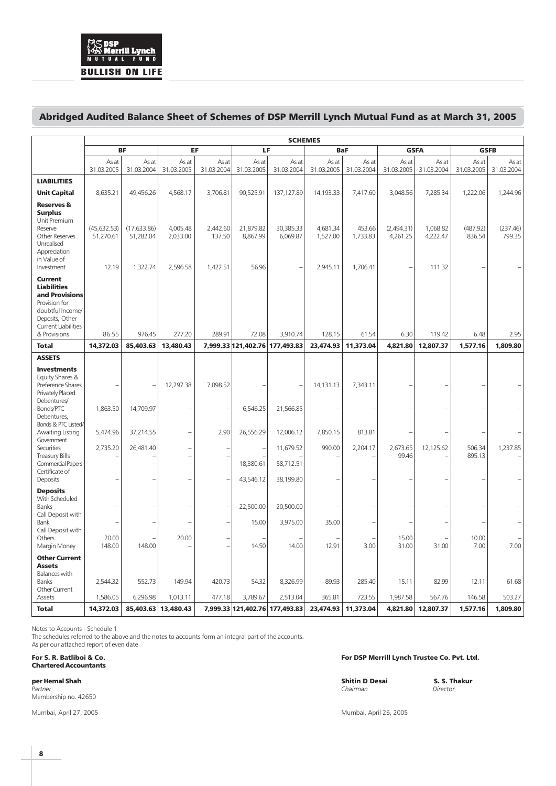## Abridged Audited Balance Sheet of Schemes of DSP Merrill Lynch Mutual Fund as at March 31, 2005

|                                                                                                                                                       |                                    | <b>SCHEMES</b>            |                                  |                     |                                |                       |                                  |                     |                        |                      |                     |                     |  |
|-------------------------------------------------------------------------------------------------------------------------------------------------------|------------------------------------|---------------------------|----------------------------------|---------------------|--------------------------------|-----------------------|----------------------------------|---------------------|------------------------|----------------------|---------------------|---------------------|--|
|                                                                                                                                                       |                                    | <b>BF</b>                 | EF                               |                     | LF                             |                       | <b>BaF</b>                       |                     |                        | <b>GSFA</b>          | <b>GSFB</b>         |                     |  |
|                                                                                                                                                       | As at<br>31.03.2005                | As at<br>31.03.2004       | As at<br>31.03.2005              | As at<br>31.03.2004 | As at<br>31.03.2005            | As at<br>31.03.2004   | As at<br>31.03.2005              | As at<br>31.03.2004 | As at<br>31.03.2005    | As at<br>31.03.2004  | As at<br>31.03.2005 | As at<br>31.03.2004 |  |
| <b>LIABILITIES</b>                                                                                                                                    |                                    |                           |                                  |                     |                                |                       |                                  |                     |                        |                      |                     |                     |  |
| <b>Unit Capital</b>                                                                                                                                   | 8,635.21                           | 49,456.26                 | 4,568.17                         | 3,706.81            | 90,525.91                      | 137,127.89            | 14,193.33                        | 7,417.60            | 3,048.56               | 7,285.34             | 1,222.06            | 1,244.96            |  |
| <b>Reserves &amp;</b><br><b>Surplus</b><br>Unit Premium<br>Reserve<br><b>Other Reserves</b><br>Unrealised<br>Appreciation<br>in Value of              | (45, 632.53)<br>51,270.61<br>12.19 | (17, 633.86)<br>51,282.04 | 4,005.48<br>2,033.00<br>2,596.58 | 2,442.60<br>137.50  | 21,879.82<br>8,867.99<br>56.96 | 30,385.33<br>6,069.87 | 4,681.34<br>1,527.00<br>2,945.11 | 453.66<br>1,733.83  | (2,494.31)<br>4,261.25 | 1,068.82<br>4,222.47 | (487.92)<br>836.54  | (237.46)<br>799.35  |  |
| Investment                                                                                                                                            |                                    | 1,322.74                  |                                  | 1,422.51            |                                |                       |                                  | 1,706.41            |                        | 111.32               |                     |                     |  |
| Current<br><b>Liabilities</b><br>and Provisions<br>Provision for<br>doubtful Income/<br>Deposits, Other<br><b>Current Liabilities</b><br>& Provisions | 86.55                              | 976.45                    | 277.20                           | 289.91              | 72.08                          | 3,910.74              | 128.15                           | 61.54               | 6.30                   | 119.42               | 6.48                | 2.95                |  |
| <b>Total</b>                                                                                                                                          | 14,372.03                          | 85,403.63                 | 13,480.43                        |                     | 7,999.33 121,402.76 177,493.83 |                       | 23,474.93                        | 11,373,04           | 4.821.80               | 12,807.37            | 1,577.16            | 1.809.80            |  |
| <b>ASSETS</b>                                                                                                                                         |                                    |                           |                                  |                     |                                |                       |                                  |                     |                        |                      |                     |                     |  |
| <b>Investments</b><br>Equity Shares &<br>Preference Shares<br>Privately Placed<br>Debentures/<br>Bonds/PTC<br>Debentures,                             | 1,863.50                           | 14,709.97                 | 12,297.38                        | 7,098.52            | 6,546.25                       | 21,566.85             | 14,131.13                        | 7,343.11            |                        |                      |                     |                     |  |
| Bonds & PTC Listed/<br>Awaiting Listing                                                                                                               | 5,474.96                           | 37,214.55                 |                                  | 2.90                | 26,556.29                      | 12,006.12             | 7,850.15                         | 813.81              |                        |                      |                     |                     |  |
| Government<br>Securities                                                                                                                              | 2,735.20                           | 26,481.40                 | $\overline{\phantom{0}}$         |                     |                                | 11,679.52             | 990.00                           | 2,204.17            | 2,673.65               | 12,125.62            | 506.34              | 1,237.85            |  |
| <b>Treasury Bills</b><br><b>Commercial Papers</b><br>Certificate of                                                                                   |                                    |                           | $\overline{\phantom{0}}$         |                     | 18,380.61                      | 58,712.51             |                                  |                     | 99.46                  |                      | 895.13              |                     |  |
| Deposits                                                                                                                                              |                                    |                           | L.                               |                     | 43,546.12                      | 38,199.80             |                                  |                     |                        |                      |                     |                     |  |
| <b>Deposits</b><br>With Scheduled<br>Banks<br>Call Deposit with                                                                                       |                                    |                           |                                  |                     | 22,500.00                      | 20,500.00             |                                  |                     |                        |                      |                     |                     |  |
| Bank                                                                                                                                                  |                                    |                           |                                  |                     | 15.00                          | 3,975.00              | 35.00                            |                     |                        |                      |                     |                     |  |
| Call Deposit with<br>Others<br>Margin Money                                                                                                           | 20.00<br>148.00                    | 148.00                    | 20.00                            |                     | 14.50                          | 14.00                 | 12.91                            | 3.00                | 15.00<br>31.00         | 31.00                | 10.00<br>7.00       | 7.00                |  |
| <b>Other Current</b><br><b>Assets</b><br><b>Balances with</b><br>Banks                                                                                | 2,544.32                           | 552.73                    | 149.94                           | 420.73              | 54.32                          | 8,326.99              | 89.93                            | 285.40              | 15.11                  | 82.99                | 12.11               | 61.68               |  |
| Other Current<br>Assets                                                                                                                               | 1,586.05                           | 6,296.98                  | 1,013.11                         | 477.18              | 3,789.67                       | 2,513.04              | 365.81                           | 723.55              | 1,987.58               | 567.76               | 146.58              | 503.27              |  |
| <b>Total</b>                                                                                                                                          | 14,372.03                          | 85,403.63                 | 13,480.43                        |                     | 7,999.33 121,402.76 177,493.83 |                       | 23,474.93                        | 11,373.04           | 4,821.80               | 12,807.37            | 1,577.16            | 1,809.80            |  |

Notes to Accounts - Schedule 1

The schedules referred to the above and the notes to accounts form an integral part of the accounts.

As per our attached report of even date

Chartered Accountants

Partner Chairman Director (Partner Chairman Director Chairman Director Chairman Director Chairman Director (Pa Membership no. 42650

Mumbai, April 27, 2005 Mumbai, April 26, 2005

For S. R. Batliboi & Co. For DSP Merrill Lynch Trustee Co. Pvt. Ltd.

per Hemal Shah Shitin D Desai S. S. Thakur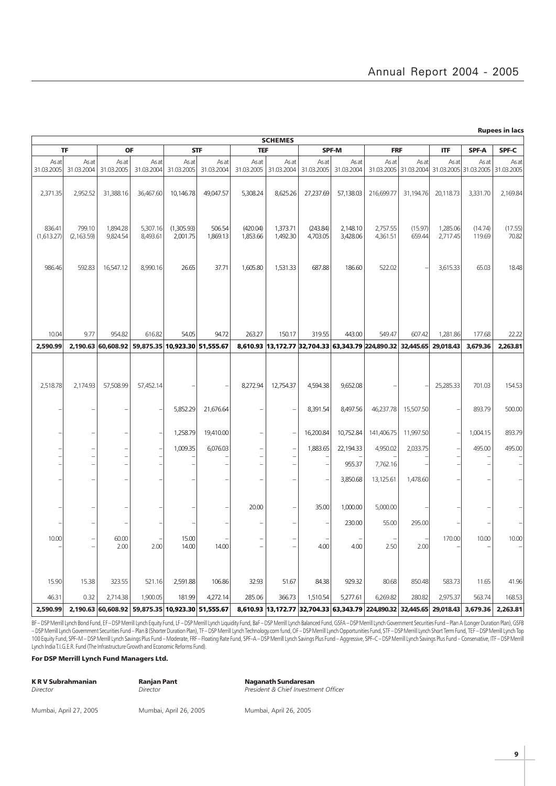Rupees in lacs

|                      | <b>SCHEMES</b>        |                      |                                                  |                        |                     |                          |                      |                      |                      |                                                                       |                   |                                           |                   |                     |
|----------------------|-----------------------|----------------------|--------------------------------------------------|------------------------|---------------------|--------------------------|----------------------|----------------------|----------------------|-----------------------------------------------------------------------|-------------------|-------------------------------------------|-------------------|---------------------|
|                      | <b>TF</b>             | <b>OF</b>            |                                                  |                        | <b>STF</b>          | <b>TEF</b>               |                      |                      | <b>SPF-M</b>         | <b>FRF</b>                                                            |                   | <b>ITF</b>                                | <b>SPF-A</b>      | SPF-C               |
| As at<br>31.03.2005  | As at<br>31.03.2004   | As at<br>31.03.2005  | As at<br>31.03.2004                              | As at<br>31.03.2005    | As at<br>31.03.2004 | As at<br>31.03.2005      | As at<br>31.03.2004  | As at<br>31.03.2005  | As at<br>31.03.2004  | As at<br>31.03.2005                                                   | As at             | As at<br>31.03.2004 31.03.2005 31.03.2005 | As at             | As at<br>31.03.2005 |
| 2,371.35             | 2,952.52              | 31,388.16            | 36,467.60                                        | 10,146.78              | 49,047.57           | 5,308.24                 | 8,625.26             | 27,237.69            | 57,138.03            | 216,699.77                                                            | 31,194.76         | 20,118.73                                 | 3,331.70          | 2,169.84            |
| 836.41<br>(1,613.27) | 799.10<br>(2, 163.59) | 1,894.28<br>9,824.54 | 5,307.16<br>8,493.61                             | (1,305.93)<br>2,001.75 | 506.54<br>1,869.13  | (420.04)<br>1,853.66     | 1,373.71<br>1,492.30 | (243.84)<br>4,703.05 | 2,148.10<br>3,428.06 | 2,757.55<br>4,361.51                                                  | (15.97)<br>659.44 | 1,285.06<br>2,717.45                      | (14.74)<br>119.69 | (17.55)<br>70.82    |
| 986.46               | 592.83                | 16,547.12            | 8,990.16                                         | 26.65                  | 37.71               | 1,605.80                 | 1,531.33             | 687.88               | 186.60               | 522.02                                                                |                   | 3,615.33                                  | 65.03             | 18.48               |
| 10.04                | 9.77                  | 954.82               | 616.82                                           | 54.05                  | 94.72               | 263.27                   | 150.17               | 319.55               | 443.00               | 549.47                                                                | 607.42            | 1,281.86                                  | 177.68            | 22.22               |
| 2,590.99             |                       |                      | 2,190.63 60,608.92 59,875.35 10,923.30 51,555.67 |                        |                     |                          |                      |                      |                      | 8,610.93 13,172.77 32,704.33 63,343.79 224,890.32 32,445.65 29,018.43 |                   |                                           | 3,679.36          | 2,263.81            |
| 2,518.78             | 2.174.93              | 57,508.99            | 57,452.14                                        |                        |                     | 8,272.94                 | 12,754.37            | 4,594.38             | 9,652.08             |                                                                       |                   | 25,285.33                                 | 701.03            | 154.53              |
|                      |                       | $\overline{a}$       |                                                  | 5,852.29               | 21,676.64           |                          |                      | 8,391.54             | 8,497.56             | 46,237.78                                                             | 15,507.50         |                                           | 893.79            | 500.00              |
|                      |                       |                      |                                                  | 1,258.79               | 19,410.00           |                          |                      | 16,200.84            | 10,752.84            | 141,406.75                                                            | 11,997.50         |                                           | 1,004.15          | 893.79              |
|                      |                       |                      |                                                  | 1,009.35               | 6,076.03            |                          |                      | 1,883.65             | 22,194.33            | 4,950.02                                                              | 2,033.75          |                                           | 495.00            | 495.00              |
|                      |                       |                      |                                                  |                        |                     |                          |                      |                      | 955.37               | 7,762.16                                                              |                   |                                           |                   |                     |
|                      |                       | L.                   |                                                  |                        |                     |                          |                      |                      | 3,850.68             | 13,125.61                                                             | 1,478.60          |                                           |                   |                     |
|                      |                       |                      |                                                  |                        |                     | 20.00                    |                      | 35.00                | 1,000.00             | 5,000.00                                                              |                   |                                           |                   |                     |
|                      |                       |                      |                                                  |                        |                     |                          |                      |                      | 230.00               | 55.00                                                                 | 295.00            |                                           |                   |                     |
| 10.00                |                       | 60.00<br>2.00        | 2.00                                             | 15.00<br>14.00         | 14.00               | $\overline{\phantom{0}}$ |                      | 4.00                 | 4.00                 | 2.50                                                                  | 2.00              | 170.00                                    | 10.00             | 10.00               |
| 15.90                | 15.38                 | 323.55               | 521.16                                           | 2,591.88               | 106.86              | 32.93                    | 51.67                | 84.38                | 929.32               | 80.68                                                                 | 850.48            | 583.73                                    | 11.65             | 41.96               |
| 46.31                | 0.32                  | 2,714.38             | 1,900.05                                         | 181.99                 | 4,272.14            | 285.06                   | 366.73               | 1,510.54             | 5,277.61             | 6,269.82                                                              | 280.82            | 2,975.37                                  | 563.74            | 168.53              |
| 2,590.99             |                       |                      | 2,190.63 60,608.92 59,875.35 10,923.30 51,555.67 |                        |                     |                          |                      |                      |                      | 8,610.93 13,172.77 32,704.33 63,343.79 224,890.32                     |                   | 32,445.65 29,018.43                       | 3,679.36          | 2,263.81            |

BF – DSP Mernil Lynch Bond Fund, EF – DSP Mernil Lynch Equity Fund, LF – DSP Mernil Lynch Liquidity Fund, BaF – DSP Mernil Lynch Balanced Fund, GSFA – DSP Mernil Lynch Government Securities Fund – Plan A (Longer Duration P – DSP Merrill Lynch Government Securities Fund – Plan B (Shorter Duration Plan), TF – DSP Merrill Lynch Technology.com fund, OF – DSP Merrill Lynch Opportunities Fund, STF – DSP Merrill Lynch Short Term Fund, TEF – DSP Mer 100 Equity Fund, SPF-M-DSP Merrill Lynch Savings Plus Fund-Moderate, FRF-Floating Rate Fund, SPF-A-DSP Merrill Lynch Savings Plus Fund-Aggressive, SPF-C-DSP Merrill Lynch Savings Plus Fund Aggressive, SPF-C-DSP Merrill Lyn Lynch India T.I.G.E.R. Fund (The Infrastructure Growth and Economic Reforms Fund).

For DSP Merrill Lynch Fund Managers Ltd.

| <b>KRV Subrahmanian</b><br>Director | <b>Ranjan Pant</b><br>Director | <b>Naganath Sundaresan</b><br>President & Chief Investment Officer |
|-------------------------------------|--------------------------------|--------------------------------------------------------------------|
|                                     |                                |                                                                    |
| Mumbai, April 27, 2005              | Mumbai, April 26, 2005         | Mumbai, April 26, 2005                                             |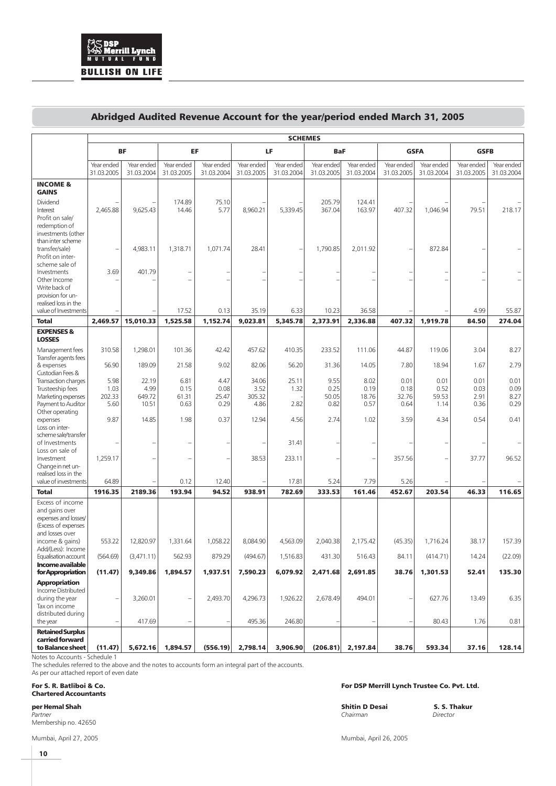## Abridged Audited Revenue Account for the year/period ended March 31, 2005

|                                                                                                     |                          | <b>SCHEMES</b>           |                          |                          |                          |                          |                          |                          |                          |                          |                          |                          |  |
|-----------------------------------------------------------------------------------------------------|--------------------------|--------------------------|--------------------------|--------------------------|--------------------------|--------------------------|--------------------------|--------------------------|--------------------------|--------------------------|--------------------------|--------------------------|--|
|                                                                                                     | <b>BF</b><br>EF          |                          |                          |                          | LF.                      | <b>BaF</b>               |                          | <b>GSFA</b>              |                          | <b>GSFB</b>              |                          |                          |  |
|                                                                                                     | Year ended<br>31.03.2005 | Year ended<br>31.03.2004 | Year ended<br>31.03.2005 | Year ended<br>31.03.2004 | Year ended<br>31.03.2005 | Year ended<br>31.03.2004 | Year ended<br>31.03.2005 | Year ended<br>31.03.2004 | Year ended<br>31.03.2005 | Year ended<br>31.03.2004 | Year ended<br>31.03.2005 | Year ended<br>31.03.2004 |  |
| <b>INCOME &amp;</b><br><b>GAINS</b>                                                                 |                          |                          |                          |                          |                          |                          |                          |                          |                          |                          |                          |                          |  |
| Dividend<br>Interest<br>Profit on sale/<br>redemption of<br>investments (other                      | 2,465.88                 | 9,625.43                 | 174.89<br>14.46          | 75.10<br>5.77            | 8,960.21                 | 5,339.45                 | 205.79<br>367.04         | 124.41<br>163.97         | 407.32                   | 1,046.94                 | 79.51                    | 218.17                   |  |
| than inter scheme<br>transfer/sale)<br>Profit on inter-<br>scheme sale of                           |                          | 4,983.11                 | 1,318.71                 | 1,071.74                 | 28.41                    |                          | 1,790.85                 | 2,011.92                 |                          | 872.84                   |                          |                          |  |
| Investments<br>Other Income<br>Write back of<br>provision for un-                                   | 3.69                     | 401.79                   |                          |                          |                          |                          |                          |                          |                          |                          |                          |                          |  |
| realised loss in the<br>value of Investments                                                        |                          |                          | 17.52                    | 0.13                     | 35.19                    | 6.33                     | 10.23                    | 36.58                    |                          |                          | 4.99                     | 55.87                    |  |
| <b>Total</b>                                                                                        | 2,469.57                 | 15,010.33                | 1,525.58                 | 1,152.74                 | 9.023.81                 | 5,345.78                 | 2,373.91                 | 2,336.88                 | 407.32                   | 1,919.78                 | 84.50                    | 274.04                   |  |
| <b>EXPENSES &amp;</b><br><b>LOSSES</b>                                                              |                          |                          |                          |                          |                          |                          |                          |                          |                          |                          |                          |                          |  |
| Management fees<br>Transfer agents fees                                                             | 310.58                   | 1,298.01                 | 101.36                   | 42.42                    | 457.62                   | 410.35                   | 233.52                   | 111.06                   | 44.87                    | 119.06                   | 3.04                     | 8.27                     |  |
| & expenses<br>Custodian Fees &                                                                      | 56.90                    | 189.09                   | 21.58                    | 9.02                     | 82.06                    | 56.20                    | 31.36                    | 14.05                    | 7.80                     | 18.94                    | 1.67                     | 2.79                     |  |
| Transaction charges                                                                                 | 5.98<br>1.03             | 22.19<br>4.99            | 6.81<br>0.15             | 4.47<br>0.08             | 34.06<br>3.52            | 25.11<br>1.32            | 9.55<br>0.25             | 8.02<br>0.19             | 0.01<br>0.18             | 0.01<br>0.52             | 0.01<br>0.03             | 0.01<br>0.09             |  |
| Trusteeship fees<br>Marketing expenses                                                              | 202.33                   | 649.72                   | 61.31                    | 25.47                    | 305.32                   |                          | 50.05                    | 18.76                    | 32.76                    | 59.53                    | 2.91                     | 8.27                     |  |
| Payment to Auditor<br>Other operating                                                               | 5.60                     | 10.51                    | 0.63                     | 0.29                     | 4.86                     | 2.82                     | 0.82                     | 0.57                     | 0.64                     | 1.14                     | 0.36                     | 0.29                     |  |
| expenses<br>Loss on inter-                                                                          | 9.87                     | 14.85                    | 1.98                     | 0.37                     | 12.94                    | 4.56                     | 2.74                     | 1.02                     | 3.59                     | 4.34                     | 0.54                     | 0.41                     |  |
| scheme sale/transfer<br>of Investments<br>Loss on sale of                                           |                          |                          |                          |                          |                          | 31.41                    |                          |                          |                          |                          |                          |                          |  |
| Investment<br>Change in net un-                                                                     | 1,259.17                 |                          |                          |                          | 38.53                    | 233.11                   |                          |                          | 357.56                   |                          | 37.77                    | 96.52                    |  |
| realised loss in the<br>value of investments                                                        | 64.89                    |                          | 0.12                     | 12.40                    |                          | 17.81                    | 5.24                     | 7.79                     | 5.26                     |                          |                          |                          |  |
| <b>Total</b>                                                                                        | 1916.35                  | 2189.36                  | 193.94                   | 94.52                    | 938.91                   | 782.69                   | 333.53                   | 161.46                   | 452.67                   | 203.54                   | 46.33                    | 116.65                   |  |
| Excess of income<br>and gains over<br>expenses and losses<br>(Excess of expenses<br>and losses over |                          |                          |                          |                          |                          |                          |                          |                          |                          |                          |                          |                          |  |
| income & gains)<br>Add/(Less): Income                                                               | 553.22                   | 12,820.97                | 1,331.64                 | 1,058.22                 | 8,084.90                 | 4.563.09                 | 2,040.38                 | 2,175.42                 | (45.35)                  | 1,716.24                 | 38.17                    | 157.39                   |  |
| Equalisation account<br>Income available                                                            | (564.69)                 | (3,471.11)               | 562.93                   | 879.29                   | (494.67)                 | 1,516.83                 | 431.30                   | 516.43                   | 84.11                    | (414.71)                 | 14.24                    | (22.09)                  |  |
| for Appropriation                                                                                   | (11.47)                  | 9,349.86                 | 1,894.57                 | 1,937.51                 | 7,590.23                 | 6,079.92                 | 2,471.68                 | 2,691.85                 | 38.76                    | 1,301.53                 | 52.41                    | 135.30                   |  |
| Appropriation<br>Income Distributed<br>during the year<br>Tax on income                             | ÷                        | 3,260.01                 |                          | 2,493.70                 | 4,296.73                 | 1,926.22                 | 2,678.49                 | 494.01                   |                          | 627.76                   | 13.49                    | 6.35                     |  |
| distributed during<br>the year                                                                      | ٠                        | 417.69                   |                          |                          | 495.36                   | 246.80                   |                          |                          |                          | 80.43                    | 1.76                     | 0.81                     |  |
| <b>Retained Surplus</b><br>carried forward<br>to Balance sheet                                      | (11.47)                  | 5,672.16                 | 1,894.57                 | (556.19)                 | 2,798.14                 | 3,906.90                 | (206.81)                 | 2,197.84                 | 38.76                    | 593.34                   | 37.16                    | 128.14                   |  |

Notes to Accounts - Schedule 1

The schedules referred to the above and the notes to accounts form an integral part of the accounts. As per our attached report of even date

#### Chartered Accountants

Membership no. 42650

Mumbai, April 27, 2005 Mumbai, April 26, 2005

For S. R. Batliboi & Co. For DSP Merrill Lynch Trustee Co. Pvt. Ltd.

per Hemal Shah Shitin D Desai S. S. Thakur Partner Chairman Director (1999) (Chairman Director Chairman Director Chairman Director Chairman Director (199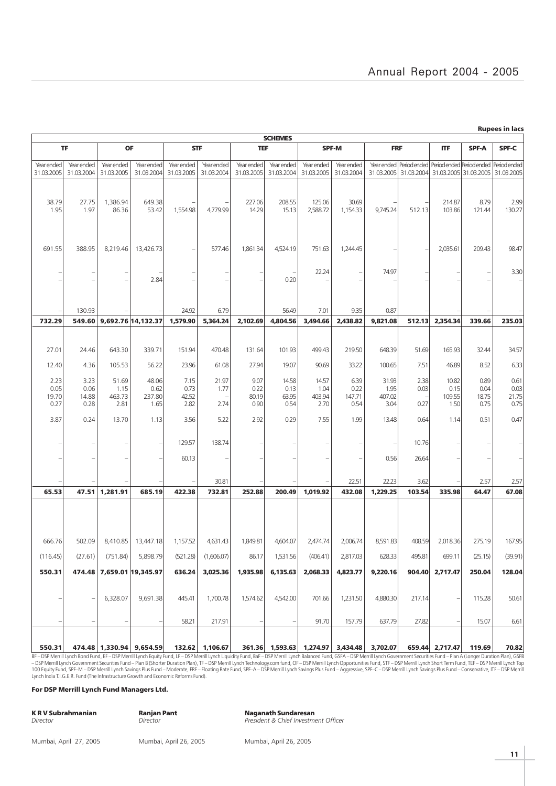|                          | <b>Rupees in lacs</b><br><b>SCHEMES</b>                                                                   |                                               |                                    |                          |                          |                          |                          |                          |                          |                |                                                                                                                                  |                 |               |               |
|--------------------------|-----------------------------------------------------------------------------------------------------------|-----------------------------------------------|------------------------------------|--------------------------|--------------------------|--------------------------|--------------------------|--------------------------|--------------------------|----------------|----------------------------------------------------------------------------------------------------------------------------------|-----------------|---------------|---------------|
|                          | TF<br><b>OF</b><br><b>STF</b><br>SPF-A<br>SPF-C<br><b>TEF</b><br><b>SPF-M</b><br><b>FRF</b><br><b>ITF</b> |                                               |                                    |                          |                          |                          |                          |                          |                          |                |                                                                                                                                  |                 |               |               |
|                          |                                                                                                           |                                               |                                    |                          |                          |                          |                          |                          |                          |                |                                                                                                                                  |                 |               |               |
| Year ended<br>31.03.2005 | Year ended<br>31.03.2004                                                                                  | Year ended<br>31.03.2005                      | Year ended<br>31.03.2004           | Year ended<br>31.03.2005 | Year ended<br>31.03.2004 | Year ended<br>31.03.2005 | Year ended<br>31.03.2004 | Year ended<br>31.03.2005 | Year ended<br>31.03.2004 |                | Year ended   Period ended   Period ended   Period ended   Period ended<br>31.03.2005 31.03.2004 31.03.2005 31.03.2005 31.03.2005 |                 |               |               |
| 38.79                    | 27.75                                                                                                     | 1,386.94                                      | 649.38                             |                          |                          | 227.06                   | 208.55                   | 125.06                   | 30.69                    |                |                                                                                                                                  | 214.87          | 8.79          | 2.99          |
| 1.95                     | 1.97                                                                                                      | 86.36                                         | 53.42                              | 1,554.98                 | 4,779.99                 | 14.29                    | 15.13                    | 2,588.72                 | 1,154.33                 | 9,745.24       | 512.13                                                                                                                           | 103.86          | 121.44        | 130.27        |
| 691.55                   | 388.95                                                                                                    | 8,219.46                                      | 13,426.73                          | ÷                        | 577.46                   | 1,861.34                 | 4,524.19                 | 751.63                   | 1,244.45                 |                |                                                                                                                                  | 2,035.61        | 209.43        | 98.47         |
|                          |                                                                                                           | $\overline{\phantom{0}}$<br>$\qquad \qquad -$ | 2.84                               |                          |                          |                          | 0.20                     | 22.24                    |                          | 74.97          |                                                                                                                                  |                 |               | 3.30          |
|                          | 130.93                                                                                                    |                                               |                                    | 24.92                    | 6.79                     |                          | 56.49                    | 7.01                     | 9.35                     | 0.87           |                                                                                                                                  |                 |               |               |
| 732.29                   | 549.60                                                                                                    |                                               | 9,692.76 14,132.37                 | 1,579.90                 | 5,364.24                 | 2,102.69                 | 4.804.56                 | 3,494.66                 | 2,438.82                 | 9,821.08       | 512.13                                                                                                                           | 2,354.34        | 339.66        | 235.03        |
|                          |                                                                                                           |                                               |                                    |                          |                          |                          |                          |                          |                          |                |                                                                                                                                  |                 |               |               |
| 27.01                    | 24.46                                                                                                     | 643.30                                        | 339.71                             | 151.94                   | 470.48                   | 131.64                   | 101.93                   | 499.43                   | 219.50                   | 648.39         | 51.69                                                                                                                            | 165.93          | 32.44         | 34.57         |
| 12.40                    | 4.36                                                                                                      | 105.53                                        | 56.22                              | 23.96                    | 61.08                    | 27.94                    | 19.07                    | 90.69                    | 33.22                    | 100.65         | 7.51                                                                                                                             | 46.89           | 8.52          | 6.33          |
| 2.23<br>0.05             | 3.23<br>0.06                                                                                              | 51.69<br>1.15                                 | 48.06<br>0.62                      | 7.15<br>0.73             | 21.97<br>1.77            | 9.07<br>0.22             | 14.58<br>0.13            | 14.57<br>1.04            | 6.39<br>0.22             | 31.93<br>1.95  | 2.38<br>0.03                                                                                                                     | 10.82<br>0.15   | 0.89<br>0.04  | 0.61<br>0.03  |
| 19.70<br>0.27            | 14.88<br>0.28                                                                                             | 463.73<br>2.81                                | 237.80<br>1.65                     | 42.52<br>2.82            | 2.74                     | 80.19<br>0.90            | 63.95<br>0.54            | 403.94<br>2.70           | 147.71<br>0.54           | 407.02<br>3.04 | 0.27                                                                                                                             | 109.55<br>1.50  | 18.75<br>0.75 | 21.75<br>0.75 |
| 3.87                     | 0.24                                                                                                      | 13.70                                         | 1.13                               | 3.56                     | 5.22                     | 2.92                     | 0.29                     | 7.55                     | 1.99                     | 13.48          | 0.64                                                                                                                             | 1.14            | 0.51          | 0.47          |
|                          |                                                                                                           | $\overline{\phantom{a}}$                      | $\overline{\phantom{a}}$           | 129.57                   | 138.74                   |                          |                          |                          |                          |                | 10.76                                                                                                                            |                 |               |               |
|                          |                                                                                                           |                                               |                                    | 60.13                    |                          |                          |                          |                          |                          | 0.56           | 26.64                                                                                                                            |                 |               |               |
|                          |                                                                                                           |                                               |                                    |                          | 30.81                    |                          |                          |                          | 22.51                    | 22.23          | 3.62                                                                                                                             |                 | 2.57          | 2.57          |
| 65.53                    | 47.51                                                                                                     | 1,281.91                                      | 685.19                             | 422.38                   | 732.81                   | 252.88                   | 200.49                   | 1,019.92                 | 432.08                   | 1,229.25       | 103.54                                                                                                                           | 335.98          | 64.47         | 67.08         |
|                          |                                                                                                           |                                               |                                    |                          |                          |                          |                          |                          |                          |                |                                                                                                                                  |                 |               |               |
| 666.76                   |                                                                                                           |                                               | 502.09 8,410.85 13,447.18 1,157.52 |                          | 4,631.43                 | 1,849.81                 | 4,604.07                 | 2,474.74                 | 2,006.74                 | 8,591.83       | 408.59                                                                                                                           | 2,018.36        | 275.19        | 167.95        |
| (116.45)                 | (27.61)                                                                                                   | (751.84)                                      | 5,898.79                           | (521.28)                 | (1,606.07)               | 86.17                    | 1,531.56                 | (406.41)                 | 2,817.03                 | 628.33         | 495.81                                                                                                                           | 699.11          | (25.15)       | (39.91)       |
| 550.31                   |                                                                                                           |                                               | 474.48 7,659.01 19,345.97          | 636.24                   | 3,025.36                 | 1,935.98                 | 6,135.63                 | 2,068.33                 | 4,823.77                 | 9,220.16       | 904.40                                                                                                                           | 2,717.47        | 250.04        | 128.04        |
|                          |                                                                                                           | 6,328.07                                      | 9,691.38                           | 445.41                   | 1,700.78                 | 1,574.62                 | 4,542.00                 | 701.66                   | 1,231.50                 | 4,880.30       | 217.14                                                                                                                           |                 | 115.28        | 50.61         |
|                          |                                                                                                           |                                               |                                    | 58.21                    | 217.91                   |                          |                          | 91.70                    | 157.79                   | 637.79         | 27.82                                                                                                                            |                 | 15.07         | 6.61          |
| 550.31                   |                                                                                                           |                                               | 474.48 1,330.94 9,654.59           | 132.62                   | 1,106.67                 |                          | 361.36 1,593.63 1,274.97 |                          | 3,434.48                 | 3,702.07       |                                                                                                                                  | 659.44 2,717.47 | 119.69        | 70.82         |

BF – DSP Merrill Lynch Bond Fund, EF – DSP Merrill Lynch Equity Fund, LF – DSP Merrill Lynch Liquidity Fund, BaF – DSP Merrill Lynch Balanced Fund, GSFA – DSP Merrill Lynch Government Securities Fund – Plan A (Longer Durat

#### For DSP Merrill Lynch Fund Managers Ltd.

| K R V Subrahmanian | <b>Ranjan Pant</b> | <b>Naganath Sundaresan</b> |
|--------------------|--------------------|----------------------------|
| Director           | Director           | President & Chief Investme |

President & Chief Investment Officer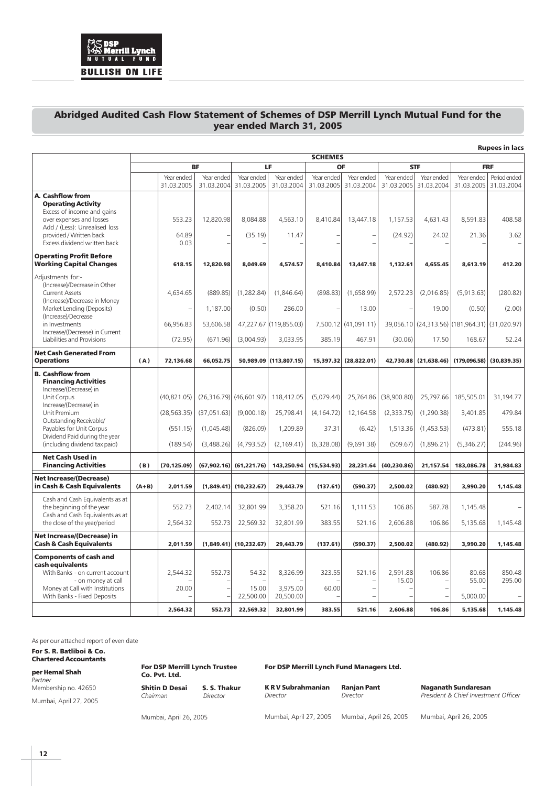

## Abridged Audited Cash Flow Statement of Schemes of DSP Merrill Lynch Mutual Fund for the year ended March 31, 2005

|                                                                                                                                         | <b>Rupees in lacs</b> |                                      |                         |                             |                        |                  |                          |                   |                                    |                                                |                            |
|-----------------------------------------------------------------------------------------------------------------------------------------|-----------------------|--------------------------------------|-------------------------|-----------------------------|------------------------|------------------|--------------------------|-------------------|------------------------------------|------------------------------------------------|----------------------------|
|                                                                                                                                         |                       |                                      |                         |                             |                        | <b>SCHEMES</b>   |                          |                   |                                    |                                                |                            |
|                                                                                                                                         |                       | Year ended                           | <b>BF</b><br>Year ended | Year ended                  | LF<br>Year ended       | OF<br>Year ended | Year ended               | Year ended        | <b>STF</b><br>Year ended           | Year ended                                     | <b>FRF</b><br>Period ended |
|                                                                                                                                         |                       | 31.03.2005                           | 31.03.2004              | 31.03.2005                  | 31.03.2004             | 31.03.2005       | 31.03.2004               | 31.03.2005        | 31.03.2004                         | 31.03.2005                                     | 31.03.2004                 |
| A. Cashflow from<br><b>Operating Activity</b><br>Excess of income and gains                                                             |                       |                                      |                         |                             |                        |                  |                          |                   |                                    |                                                |                            |
| over expenses and losses<br>Add / (Less): Unrealised loss                                                                               |                       | 553.23                               | 12,820.98               | 8,084.88                    | 4,563.10               | 8,410.84         | 13,447.18                | 1,157.53          | 4,631.43                           | 8,591.83                                       | 408.58                     |
| provided / Written back<br>Excess dividend written back                                                                                 |                       | 64.89<br>0.03                        |                         | (35.19)                     | 11.47                  |                  |                          | (24.92)           | 24.02                              | 21.36                                          | 3.62                       |
| <b>Operating Profit Before</b><br><b>Working Capital Changes</b>                                                                        |                       | 618.15                               | 12,820.98               | 8,049.69                    | 4,574.57               | 8,410.84         | 13,447.18                | 1,132.61          | 4,655.45                           | 8,613.19                                       | 412.20                     |
| Adjustments for:-<br>(Increase)/Decrease in Other<br><b>Current Assets</b><br>(Increase)/Decrease in Money<br>Market Lending (Deposits) |                       | 4,634.65<br>$\overline{\phantom{a}}$ | (889.85)<br>1,187.00    | (1,282.84)<br>(0.50)        | (1,846.64)<br>286.00   | (898.83)         | (1,658.99)<br>13.00      | 2,572.23          | (2,016.85)<br>19.00                | (5,913.63)<br>(0.50)                           | (280.82)<br>(2.00)         |
| (Increase)/Decrease<br>in Investments                                                                                                   |                       | 66,956.83                            | 53,606.58               |                             | 47,227.67 (119,855.03) |                  | 7,500.12 (41,091.11)     |                   |                                    | 39,056.10 (24,313.56) (181,964.31) (31,020.97) |                            |
| Increase/(Decrease) in Current<br>Liabilities and Provisions                                                                            |                       | (72.95)                              | (671.96)                | (3,004.93)                  | 3,033.95               | 385.19           | 467.91                   | (30.06)           | 17.50                              | 168.67                                         | 52.24                      |
| <b>Net Cash Generated From</b><br><b>Operations</b>                                                                                     | (A)                   | 72,136.68                            | 66,052.75               |                             | 50,989.09 (113,807.15) | 15,397.32        | (28,822.01)              | 42,730.88         | (21, 638.46)                       | (179.096.58)                                   | (30, 839.35)               |
| <b>B. Cashflow from</b>                                                                                                                 |                       |                                      |                         |                             |                        |                  |                          |                   |                                    |                                                |                            |
| <b>Financing Activities</b><br>Increase/(Decrease) in<br>Unit Corpus                                                                    |                       | (40, 821.05)                         |                         | $(26,316.79)$ $(46,601.97)$ | 118,412.05             | (5,079.44)       | 25,764.86                | (38,900.80)       | 25,797.66                          | 185,505.01                                     | 31,194.77                  |
| Increase/(Decrease) in<br>Unit Premium                                                                                                  |                       | (28, 563.35)                         | (37,051.63)             | (9,000.18)                  | 25,798.41              | (4, 164.72)      | 12,164.58                | (2,333.75)        | (1,290.38)                         | 3,401.85                                       | 479.84                     |
| Outstanding Receivable/<br>Payables for Unit Corpus<br>Dividend Paid during the year                                                    |                       | (551.15)                             | (1,045.48)              | (826.09)                    | 1,209.89               | 37.31            | (6.42)                   | 1,513.36          | (1,453.53)                         | (473.81)                                       | 555.18                     |
| (including dividend tax paid)                                                                                                           |                       | (189.54)                             | (3,488.26)              | (4,793.52)                  | (2, 169.41)            | (6,328.08)       | (9,691.38)               | (509.67)          | (1,896.21)                         | (5,346.27)                                     | (244.96)                   |
| <b>Net Cash Used in</b><br><b>Financing Activities</b>                                                                                  | (B)                   | (70, 125.09)                         | (67, 902.16)            | (61, 221.76)                | 143,250.94             | (15,534.93)      | 28,231.64                | (40, 230.86)      | 21,157.54                          | 183,086.78                                     | 31,984.83                  |
| <b>Net Increase/(Decrease)</b><br>in Cash & Cash Equivalents                                                                            | $(A+B)$               | 2.011.59                             | (1.849.41)              | (10, 232.67)                | 29,443.79              | (137.61)         | (590.37)                 | 2,500.02          | (480.92)                           | 3,990.20                                       | 1,145.48                   |
| Cash and Cash Equivalents as at<br>the beginning of the year                                                                            |                       | 552.73                               | 2,402.14                | 32,801.99                   | 3,358.20               | 521.16           | 1,111.53                 | 106.86            | 587.78                             | 1,145.48                                       |                            |
| Cash and Cash Equivalents as at<br>the close of the year/period                                                                         |                       | 2,564.32                             | 552.73                  | 22,569.32                   | 32,801.99              | 383.55           | 521.16                   | 2,606.88          | 106.86                             | 5,135.68                                       | 1,145.48                   |
| <b>Net Increase/(Decrease) in</b><br><b>Cash &amp; Cash Equivalents</b>                                                                 |                       | 2,011.59                             |                         | $(1,849.41)$ (10,232.67)    | 29,443.79              | (137.61)         | (590.37)                 | 2,500.02          | (480.92)                           | 3,990.20                                       | 1,145.48                   |
| <b>Components of cash and</b>                                                                                                           |                       |                                      |                         |                             |                        |                  |                          |                   |                                    |                                                |                            |
| cash equivalents<br>With Banks - on current account<br>- on money at call                                                               |                       | 2.544.32                             | 552.73                  | 54.32                       | 8.326.99               | 323.55           | 521.16                   | 2.591.88<br>15.00 | 106.86<br>$\overline{\phantom{0}}$ | 80.68<br>55.00                                 | 850.48<br>295.00           |
| Money at Call with Institutions<br>With Banks - Fixed Deposits                                                                          |                       | 20.00                                |                         | 15.00<br>22,500.00          | 3.975.00<br>20,500.00  | 60.00            | $\overline{\phantom{0}}$ |                   |                                    | 5,000.00                                       |                            |
|                                                                                                                                         |                       | 2,564.32                             | 552.73                  | 22,569.32                   | 32,801.99              | 383.55           | 521.16                   | 2,606.88          | 106.86                             | 5,135.68                                       | 1,145.48                   |

As per our attached report of even date

For S. R. Batliboi & Co. Chartered Accountants

per Hemal Shah **Partner** Membership no. 42650

Mumbai, April 27, 2005

For DSP Merrill Lynch Trustee Co. Pvt. Ltd. Shitin D Desai S. S. Thakur Chairman Director

For DSP Merrill Lynch Fund Managers Ltd.

K R V Subrahmanian Ranjan Pant Naganath Sundaresan Director **Director Director President & Chief Investment Officer** 

Mumbai, April 26, 2005

Mumbai, April 27, 2005 Mumbai, April 26, 2005 Mumbai, April 26, 2005

**12**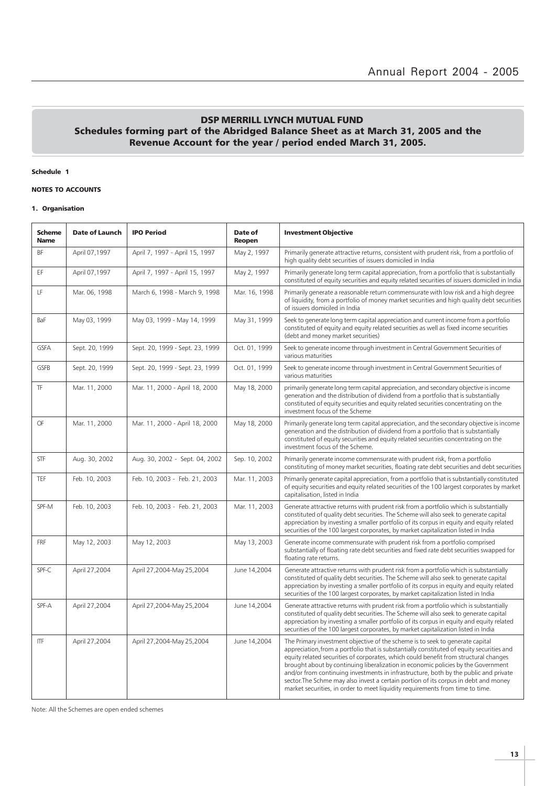## DSP MERRILL LYNCH MUTUAL FUND Schedules forming part of the Abridged Balance Sheet as at March 31, 2005 and the Revenue Account for the year / period ended March 31, 2005.

Schedule 1

#### NOTES TO ACCOUNTS

#### 1. Organisation

| <b>Scheme</b><br><b>Name</b> | <b>Date of Launch</b> | <b>IPO Period</b>               | Date of<br>Reopen | <b>Investment Objective</b>                                                                                                                                                                                                                                                                                                                                                                                                                                                                                                                                                                                             |
|------------------------------|-----------------------|---------------------------------|-------------------|-------------------------------------------------------------------------------------------------------------------------------------------------------------------------------------------------------------------------------------------------------------------------------------------------------------------------------------------------------------------------------------------------------------------------------------------------------------------------------------------------------------------------------------------------------------------------------------------------------------------------|
| BF                           | April 07,1997         | April 7, 1997 - April 15, 1997  | May 2, 1997       | Primarily generate attractive returns, consistent with prudent risk, from a portfolio of<br>high quality debt securities of issuers domiciled in India                                                                                                                                                                                                                                                                                                                                                                                                                                                                  |
| EF                           | April 07,1997         | April 7, 1997 - April 15, 1997  | May 2, 1997       | Primarily generate long term capital appreciation, from a portfolio that is substantially<br>constituted of equity securities and equity related securities of issuers domiciled in India                                                                                                                                                                                                                                                                                                                                                                                                                               |
| LF                           | Mar. 06, 1998         | March 6, 1998 - March 9, 1998   | Mar. 16, 1998     | Primarily generate a reasonable return commensurate with low risk and a high degree<br>of liquidity, from a portfolio of money market securities and high quality debt securities<br>of issuers domiciled in India                                                                                                                                                                                                                                                                                                                                                                                                      |
| BaF                          | May 03, 1999          | May 03, 1999 - May 14, 1999     | May 31, 1999      | Seek to generate long term capital appreciation and current income from a portfolio<br>constituted of equity and equity related securities as well as fixed income securities<br>(debt and money market securities)                                                                                                                                                                                                                                                                                                                                                                                                     |
| <b>GSFA</b>                  | Sept. 20, 1999        | Sept. 20, 1999 - Sept. 23, 1999 | Oct. 01, 1999     | Seek to generate income through investment in Central Government Securities of<br>various maturities                                                                                                                                                                                                                                                                                                                                                                                                                                                                                                                    |
| GSFB                         | Sept. 20, 1999        | Sept. 20, 1999 - Sept. 23, 1999 | Oct. 01, 1999     | Seek to generate income through investment in Central Government Securities of<br>various maturities                                                                                                                                                                                                                                                                                                                                                                                                                                                                                                                    |
| <b>TF</b>                    | Mar. 11, 2000         | Mar. 11, 2000 - April 18, 2000  | May 18, 2000      | primarily generate long term capital appreciation, and secondary objective is income<br>generation and the distribution of dividend from a portfolio that is substantially<br>constituted of equity securities and equity related securities concentrating on the<br>investment focus of the Scheme                                                                                                                                                                                                                                                                                                                     |
| OF                           | Mar. 11, 2000         | Mar. 11, 2000 - April 18, 2000  | May 18, 2000      | Primarily generate long term capital appreciation, and the secondary objective is income<br>generation and the distribution of dividend from a portfolio that is substantially<br>constituted of equity securities and equity related securities concentrating on the<br>investment focus of the Scheme.                                                                                                                                                                                                                                                                                                                |
| <b>STF</b>                   | Aug. 30, 2002         | Aug. 30, 2002 - Sept. 04, 2002  | Sep. 10, 2002     | Primarily generate income commensurate with prudent risk, from a portfolio<br>constituting of money market securities, floating rate debt securities and debt securities                                                                                                                                                                                                                                                                                                                                                                                                                                                |
| TEF                          | Feb. 10, 2003         | Feb. 10, 2003 - Feb. 21, 2003   | Mar. 11, 2003     | Primarily generate capital appreciation, from a portfolio that is substantially constituted<br>of equity securities and equity related securities of the 100 largest corporates by market<br>capitalisation, listed in India                                                                                                                                                                                                                                                                                                                                                                                            |
| SPF-M                        | Feb. 10, 2003         | Feb. 10, 2003 - Feb. 21, 2003   | Mar. 11, 2003     | Generate attractive returns with prudent risk from a portfolio which is substantially<br>constituted of quality debt securities. The Scheme will also seek to generate capital<br>appreciation by investing a smaller portfolio of its corpus in equity and equity related<br>securities of the 100 largest corporates, by market capitalization listed in India                                                                                                                                                                                                                                                        |
| <b>FRF</b>                   | May 12, 2003          | May 12, 2003                    | May 13, 2003      | Generate income commensurate with prudent risk from a portfolio comprised<br>substantially of floating rate debt securities and fixed rate debt securities swapped for<br>floating rate returns.                                                                                                                                                                                                                                                                                                                                                                                                                        |
| SPF-C                        | April 27,2004         | April 27,2004-May 25,2004       | June 14,2004      | Generate attractive returns with prudent risk from a portfolio which is substantially<br>constituted of quality debt securities. The Scheme will also seek to generate capital<br>appreciation by investing a smaller portfolio of its corpus in equity and equity related<br>securities of the 100 largest corporates, by market capitalization listed in India                                                                                                                                                                                                                                                        |
| SPF-A                        | April 27,2004         | April 27,2004-May 25,2004       | June 14,2004      | Generate attractive returns with prudent risk from a portfolio which is substantially<br>constituted of quality debt securities. The Scheme will also seek to generate capital<br>appreciation by investing a smaller portfolio of its corpus in equity and equity related<br>securities of the 100 largest corporates, by market capitalization listed in India                                                                                                                                                                                                                                                        |
| <b>ITF</b>                   | April 27,2004         | April 27,2004-May 25,2004       | June 14,2004      | The Primary investment objective of the scheme is to seek to generate capital<br>appreciation, from a portfolio that is substantially constituted of equity securities and<br>equity related securities of corporates, which could benefit from structural changes<br>brought about by continuing liberalization in economic policies by the Government<br>and/or from continuing investments in infrastructure, both by the public and private<br>sector. The Schme may also invest a certain portion of its corpus in debt and money<br>market securities, in order to meet liquidity requirements from time to time. |

Note: All the Schemes are open ended schemes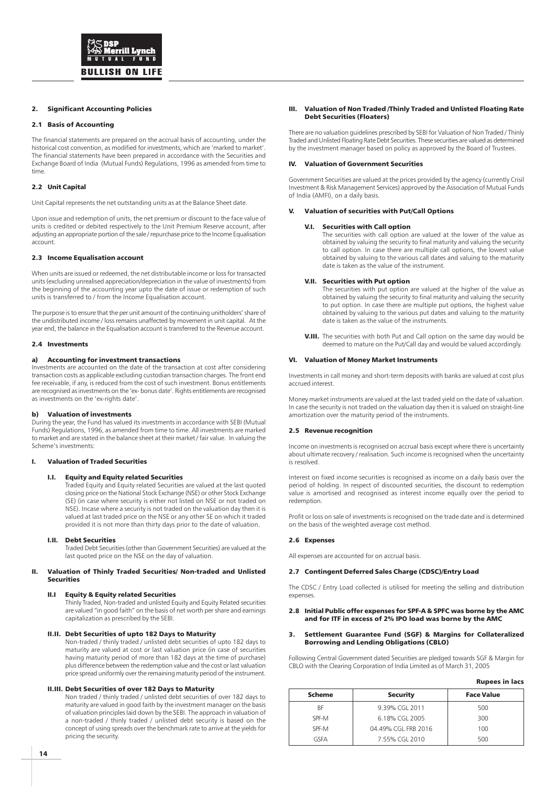#### 2. Significant Accounting Policies

#### 2.1 Basis of Accounting

The financial statements are prepared on the accrual basis of accounting, under the historical cost convention, as modified for investments, which are 'marked to market'. The financial statements have been prepared in accordance with the Securities and Exchange Board of India (Mutual Funds) Regulations, 1996 as amended from time to time.

#### 2.2 Unit Capital

Unit Capital represents the net outstanding units as at the Balance Sheet date.

Upon issue and redemption of units, the net premium or discount to the face value of units is credited or debited respectively to the Unit Premium Reserve account, after adjusting an appropriate portion of the sale / repurchase price to the Income Equalisation account.

#### 2.3 Income Equalisation account

When units are issued or redeemed, the net distributable income or loss for transacted units (excluding unrealised appreciation/depreciation in the value of investments) from the beginning of the accounting year upto the date of issue or redemption of such units is transferred to / from the Income Equalisation account.

The purpose is to ensure that the per unit amount of the continuing unitholders' share of the undistributed income / loss remains unaffected by movement in unit capital. At the year end, the balance in the Equalisation account is transferred to the Revenue account.

#### 2.4 Investments

#### a) Accounting for investment transactions

Investments are accounted on the date of the transaction at cost after considering transaction costs as applicable excluding custodian transaction charges. The front end fee receivable, if any, is reduced from the cost of such investment. Bonus entitlements are recognised as investments on the 'ex- bonus date'. Rights entitlements are recognised as investments on the 'ex-rights date'.

#### b) Valuation of investments

During the year, the Fund has valued its investments in accordance with SEBI (Mutual Funds) Regulations, 1996, as amended from time to time. All investments are marked to market and are stated in the balance sheet at their market / fair value. In valuing the Scheme's investments:

#### I. Valuation of Traded Securities

#### **Equity and Equity related Securities**

Traded Equity and Equity related Securities are valued at the last quoted closing price on the National Stock Exchange (NSE) or other Stock Exchange (SE) (in case where security is either not listed on NSE or not traded on NSE). Incase where a security is not traded on the valuation day then it is valued at last traded price on the NSE or any other SE on which it traded provided it is not more than thirty days prior to the date of valuation.

#### I.II. Debt Securities

Traded Debt Securities (other than Government Securities) are valued at the last quoted price on the NSE on the day of valuation.

#### II. Valuation of Thinly Traded Securities/ Non-traded and Unlisted Securities

#### II.I Equity & Equity related Securities

Thinly Traded, Non-traded and unlisted Equity and Equity Related securities are valued "in good faith" on the basis of net worth per share and earnings capitalization as prescribed by the SEBI.

#### II.II. Debt Securities of upto 182 Days to Maturity

Non-traded / thinly traded / unlisted debt securities of upto 182 days to maturity are valued at cost or last valuation price (in case of securities having maturity period of more than 182 days at the time of purchase) plus difference between the redemption value and the cost or last valuation price spread uniformly over the remaining maturity period of the instrument.

#### II.III. Debt Securities of over 182 Days to Maturity

Non traded / thinly traded / unlisted debt securities of over 182 days to maturity are valued in good faith by the investment manager on the basis of valuation principles laid down by the SEBI. The approach in valuation of a non-traded / thinly traded / unlisted debt security is based on the concept of using spreads over the benchmark rate to arrive at the yields for pricing the security.

#### III. Valuation of Non Traded /Thinly Traded and Unlisted Floating Rate Debt Securities (Floaters)

There are no valuation guidelines prescribed by SEBI for Valuation of Non Traded / Thinly Traded and Unlisted Floating Rate Debt Securities. These securities are valued as determined by the investment manager based on policy as approved by the Board of Trustees.

#### IV. Valuation of Government Securities

Government Securities are valued at the prices provided by the agency (currently Crisil Investment & Risk Management Services) approved by the Association of Mutual Funds of India (AMFI), on a daily basis.

#### V. Valuation of securities with Put/Call Options

#### V.I. Securities with Call option

The securities with call option are valued at the lower of the value as obtained by valuing the security to final maturity and valuing the security to call option. In case there are multiple call options, the lowest value obtained by valuing to the various call dates and valuing to the maturity date is taken as the value of the instrument.

#### V.II. Securities with Put option

The securities with put option are valued at the higher of the value as obtained by valuing the security to final maturity and valuing the security to put option. In case there are multiple put options, the highest value obtained by valuing to the various put dates and valuing to the maturity date is taken as the value of the instruments.

V.III. The securities with both Put and Call option on the same day would be deemed to mature on the Put/Call day and would be valued accordingly.

#### VI. Valuation of Money Market Instruments

Investments in call money and short-term deposits with banks are valued at cost plus accrued interest.

Money market instruments are valued at the last traded yield on the date of valuation. In case the security is not traded on the valuation day then it is valued on straight-line amortization over the maturity period of the instruments.

#### 2.5 Revenue recognition

Income on investments is recognised on accrual basis except where there is uncertainty about ultimate recovery / realisation. Such income is recognised when the uncertainty is resolved.

Interest on fixed income securities is recognised as income on a daily basis over the period of holding. In respect of discounted securities, the discount to redemption value is amortised and recognised as interest income equally over the period to redemption.

Profit or loss on sale of investments is recognised on the trade date and is determined on the basis of the weighted average cost method.

#### 2.6 Expenses

All expenses are accounted for on accrual basis.

#### 2.7 Contingent Deferred Sales Charge (CDSC)/Entry Load

The CDSC / Entry Load collected is utilised for meeting the selling and distribution expenses.

#### 2.8 Initial Public offer expenses for SPF-A & SPFC was borne by the AMC and for ITF in excess of 2% IPO load was borne by the AMC

#### 3. Settlement Guarantee Fund (SGF) & Margins for Collateralized Borrowing and Lending Obligations (CBLO)

Following Central Government dated Securities are pledged towards SGF & Margin for CBLO with the Clearing Corporation of India Limited as of March 31, 2005

| <b>Rupees in lacs</b> |  |  |
|-----------------------|--|--|
|-----------------------|--|--|

| <b>Scheme</b> | <b>Security</b>     | <b>Face Value</b> |
|---------------|---------------------|-------------------|
| ВF            | 9.39% CGL 2011      | 500               |
| SPF-M         | 6.18% CGL 2005      | 300               |
| SPF-M         | 04.49% CGL FRB 2016 | 100               |
| GSFA          | 7.55% CGL 2010      | 500               |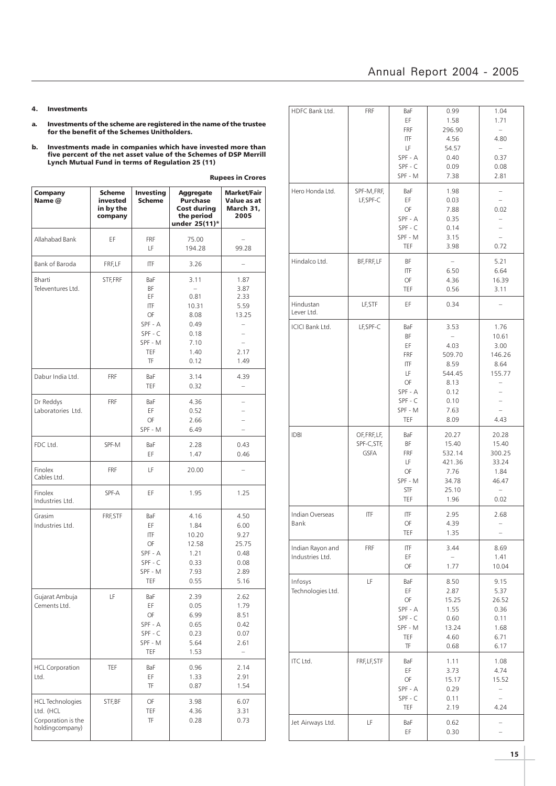## Annual Report 2004 - 2005

- 4. Investments
- a. Investments of the scheme are registered in the name of the trustee for the benefit of the Schemes Unitholders.
- b. Investments made in companies which have invested more than five percent of the net asset value of the Schemes of DSP Merrill Lynch Mutual Fund in terms of Regulation 25 (11)

| Company<br>Name @                                                             | Scheme<br>invested<br>in by the<br>company | <b>Investing</b><br><b>Scheme</b>                                                          | <b>Aggregate</b><br><b>Purchase</b><br><b>Cost during</b><br>the period<br>under 25(11)* | <b>Market/Fair</b><br>Value as at<br>March 31,<br>2005                           |
|-------------------------------------------------------------------------------|--------------------------------------------|--------------------------------------------------------------------------------------------|------------------------------------------------------------------------------------------|----------------------------------------------------------------------------------|
| Allahabad Bank                                                                | ΕF                                         | FRF<br>LF                                                                                  | 75.00<br>194.28                                                                          | 99.28                                                                            |
| Bank of Baroda                                                                | FRF, LF                                    | ITF                                                                                        | 3.26                                                                                     | ÷                                                                                |
| Bharti<br>Televentures Ltd.                                                   | STF, FRF                                   | BaF<br>BF<br>ΕF<br>ITF<br>OF<br>SPF - A<br>$SPF - C$<br>SPF - M<br><b>TEF</b><br><b>TF</b> | 3.11<br>÷<br>0.81<br>10.31<br>8.08<br>0.49<br>0.18<br>7.10<br>1.40<br>0.12               | 1.87<br>3.87<br>2.33<br>5.59<br>13.25<br>$\qquad \qquad -$<br>L.<br>2.17<br>1.49 |
| Dabur India Ltd.                                                              | <b>FRF</b>                                 | BaF<br>TEF                                                                                 | 3.14<br>0.32                                                                             | 4.39<br>$\overline{\phantom{0}}$                                                 |
| Dr Reddys<br>Laboratories Ltd.                                                | <b>FRF</b>                                 | BaF<br>ΕF<br>OF<br>SPF - M                                                                 | 4.36<br>0.52<br>2.66<br>6.49                                                             |                                                                                  |
| FDC Ltd.                                                                      | SPF-M                                      | BaF<br>EF                                                                                  | 2.28<br>1.47                                                                             | 0.43<br>0.46                                                                     |
| Finolex<br>Cables Ltd.                                                        | <b>FRF</b>                                 | LF                                                                                         | 20.00                                                                                    |                                                                                  |
| Finolex<br>Industries Ltd.                                                    | SPF-A                                      | EF                                                                                         | 1.95                                                                                     | 1.25                                                                             |
| Grasim<br>Industries Ltd.                                                     | FRF, STF                                   | BaF<br>EF<br><b>ITF</b><br>OF<br>SPF - A<br>$SPF - C$<br>SPF - M<br>TEF                    | 4.16<br>1.84<br>10.20<br>12.58<br>1.21<br>0.33<br>7.93<br>0.55                           | 4.50<br>6.00<br>9.27<br>25.75<br>0.48<br>0.08<br>2.89<br>5.16                    |
| Gujarat Ambuja<br>Cements Ltd.                                                | LF                                         | BaF<br>EF<br>OF<br>SPF - A<br>SPF - C<br>SPF - M<br>TEF                                    | 2.39<br>0.05<br>6.99<br>0.65<br>0.23<br>5.64<br>1.53                                     | 2.62<br>1.79<br>8.51<br>0.42<br>0.07<br>2.61                                     |
| <b>HCL Corporation</b><br>Ltd.                                                | TEF                                        | BaF<br>ΕF<br>TF                                                                            | 0.96<br>1.33<br>0.87                                                                     | 2.14<br>2.91<br>1.54                                                             |
| <b>HCL Technologies</b><br>Ltd. (HCL<br>Corporation is the<br>holdingcompany) | STF, BF                                    | OF<br>TEF<br>TF                                                                            | 3.98<br>4.36<br>0.28                                                                     | 6.07<br>3.31<br>0.73                                                             |

| HDFC Bank Ltd.                      | FRF                                                                                              | BaF<br>ΕF<br>FRF<br>ITF<br>LF<br>$SPF - A$<br>$SPF - C$<br>SPF - M | 0.99<br>1.58<br>296.90<br>4.56<br>54.57<br>0.40<br>0.09<br>7.38                                       | 1.04<br>1.71<br>$\equiv$<br>4.80<br>$\overline{\phantom{0}}$<br>0.37<br>0.08<br>2.81  |
|-------------------------------------|--------------------------------------------------------------------------------------------------|--------------------------------------------------------------------|-------------------------------------------------------------------------------------------------------|---------------------------------------------------------------------------------------|
| Hero Honda Ltd.                     | SPF-M,FRF,<br>LF, SPF-C                                                                          | BaF<br>EF<br>OF<br>SPF - A<br>$SPF - C$<br>SPF - M<br>TEF          | 1.98<br>0.03<br>7.88<br>0.35<br>0.14<br>3.15<br>3.98                                                  | $\qquad \qquad -$<br>÷<br>0.02<br>$\overline{\phantom{0}}$<br>0.72                    |
| Hindalco Ltd.                       | BF, FRF, LF                                                                                      | ΒF<br>ITF<br>OF<br>TEF                                             | $\overline{\phantom{a}}$<br>6.50<br>4.36<br>0.56                                                      | 5.21<br>6.64<br>16.39<br>3.11                                                         |
| Hindustan<br>Lever Ltd.             | LF, STF                                                                                          | EF                                                                 | 0.34                                                                                                  |                                                                                       |
| <b>ICICI Bank Ltd.</b>              | LF, SPF-C<br>BaF<br>ΒF<br>ΕF<br>FRF<br>ITF<br>LF<br>OF<br>SPF - A<br>$SPF - C$<br>SPF - M<br>TEF |                                                                    | 3.53<br>$\qquad \qquad -$<br>4.03<br>509.70<br>8.59<br>544.45<br>8.13<br>0.12<br>0.10<br>7.63<br>8.09 | 1.76<br>10.61<br>3.00<br>146.26<br>8.64<br>155.77<br>$\overline{\phantom{0}}$<br>4.43 |
| <b>IDBI</b>                         | OF, FRF, LF,<br>SPF-C, STF,<br><b>GSFA</b>                                                       | BaF<br>ΒF<br>FRF<br>LF<br>OF<br>SPF - M<br>STF<br>TEF              | 20.27<br>15.40<br>532.14<br>421.36<br>7.76<br>34.78<br>25.10<br>1.96                                  | 20.28<br>15.40<br>300.25<br>33.24<br>1.84<br>46.47<br>$\qquad \qquad -$<br>0.02       |
| Indian Overseas<br>Bank             | ITF                                                                                              | ITF<br>OF<br>TEF                                                   | 2.95<br>4.39<br>1.35                                                                                  | 2.68<br>$\overline{\phantom{0}}$<br>$\qquad \qquad -$                                 |
| Indian Rayon and<br>Industries Ltd. | FRF                                                                                              | ITF<br>ΕF<br>OF                                                    | 3.44<br>1.77                                                                                          | 8.69<br>1.41<br>10.04                                                                 |
| Infosys<br>Technologies Ltd.        | LF                                                                                               | BaF<br>EF<br>OF<br>SPF - A<br>SPF-C<br>SPF - M<br>TEF<br>TF        | 8.50<br>2.87<br>15.25<br>1.55<br>0.60<br>13.24<br>4.60<br>0.68                                        | 9.15<br>5.37<br>26.52<br>0.36<br>0.11<br>1.68<br>6.71<br>6.17                         |
| ITC Ltd.                            | FRF, LF, STF                                                                                     | BaF<br>EF<br>OF<br>SPF - A<br>SPF - C<br>TEF                       | 1.11<br>3.73<br>15.17<br>0.29<br>0.11<br>2.19                                                         | 1.08<br>4.74<br>15.52<br>$\overline{\phantom{a}}$<br>÷.<br>4.24                       |
| Jet Airways Ltd.                    | LF                                                                                               | BaF<br>ΕF                                                          | 0.62<br>0.30                                                                                          | -                                                                                     |

Rupees in Crores

ı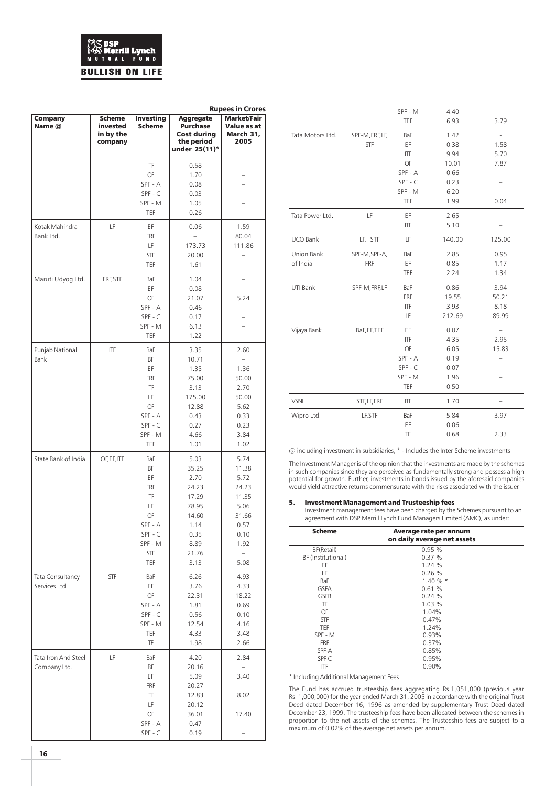# **BULLISH ON LIFE**

|                                     |                                                   |                                                                                            |                                                                                                    | <b>Rupees in Crores</b>                                                                                           |
|-------------------------------------|---------------------------------------------------|--------------------------------------------------------------------------------------------|----------------------------------------------------------------------------------------------------|-------------------------------------------------------------------------------------------------------------------|
| <b>Company</b><br>Name @            | <b>Scheme</b><br>invested<br>in by the<br>company | <b>Investing</b><br><b>Scheme</b>                                                          | <b>Aggregate</b><br>Purchase<br><b>Cost during</b><br>the period<br>under 25(11)*                  | <b>Market/Fair</b><br>Value as at<br>March 31,<br>2005                                                            |
|                                     |                                                   | ITF<br>OF<br>SPF - A<br>$SPF - C$<br>SPF - M<br><b>TEF</b>                                 | 0.58<br>1.70<br>0.08<br>0.03<br>1.05<br>0.26                                                       |                                                                                                                   |
| Kotak Mahindra<br>Bank Ltd.         | LF                                                | ΕF<br><b>FRF</b><br>LF<br><b>STF</b><br>TEF                                                | 0.06<br>173.73<br>20.00<br>1.61                                                                    | 1.59<br>80.04<br>111.86<br>$\overline{\phantom{0}}$<br>L.                                                         |
| Maruti Udyog Ltd.                   | FRF, STF                                          | BaF<br>ΕF<br>OF<br>SPF - A<br>$SPF - C$<br>SPF - M<br><b>TEF</b>                           | 1.04<br>0.08<br>21.07<br>0.46<br>0.17<br>6.13<br>1.22                                              | $\overline{\phantom{0}}$<br>5.24<br>L.                                                                            |
| Punjab National<br>Bank             | ITF                                               | BaF<br>BF<br>EF<br>FRF<br>ITF<br>LF<br>OF<br>SPF - A<br>$SPF - C$<br>SPF - M<br><b>TEF</b> | 3.35<br>10.71<br>1.35<br>75.00<br>3.13<br>175.00<br>12.88<br>0.43<br>0.27<br>4.66<br>1.01          | 2.60<br>÷.<br>1.36<br>50.00<br>2.70<br>50.00<br>5.62<br>0.33<br>0.23<br>3.84<br>1.02                              |
| State Bank of India                 | OF, EF, ITF                                       | BaF<br>BF<br>ΕF<br>FRF<br>ITF<br>LF<br>OF<br>SPF - A<br>$SPF - C$<br>SPF - M<br>STF<br>TEF | 5.03<br>35.25<br>2.70<br>24.23<br>17.29<br>78.95<br>14.60<br>1.14<br>0.35<br>8.89<br>21.76<br>3.13 | 5.74<br>11.38<br>5.72<br>24.23<br>11.35<br>5.06<br>31.66<br>0.57<br>0.10<br>1.92<br>$\qquad \qquad -$<br>5.08     |
| Tata Consultancy<br>Services Ltd.   | STF                                               | BaF<br>ΕF<br>OF<br>SPF - A<br>SPF - C<br>SPF - M<br>TEF<br>TF                              | 6.26<br>3.76<br>22.31<br>1.81<br>0.56<br>12.54<br>4.33<br>1.98                                     | 4.93<br>4.33<br>18.22<br>0.69<br>0.10<br>4.16<br>3.48<br>2.66                                                     |
| Tata Iron And Steel<br>Company Ltd. | LF                                                | BaF<br>ΒF<br>ΕF<br>FRF<br>ΙTF<br>LF<br>OF<br>SPF - A<br>SPF - C                            | 4.20<br>20.16<br>5.09<br>20.27<br>12.83<br>20.12<br>36.01<br>0.47<br>0.19                          | 2.84<br>$\overline{\phantom{a}}$<br>3.40<br>$\overline{\phantom{0}}$<br>8.02<br>$\overline{\phantom{0}}$<br>17.40 |

|                        |                               | SPF - M<br>TEF                                                   | 4.40<br>6.93                                                  | 3.79                           |
|------------------------|-------------------------------|------------------------------------------------------------------|---------------------------------------------------------------|--------------------------------|
| Tata Motors Ltd.       | SPF-M, FRF, LF,<br><b>STF</b> | BaF<br>EF<br>ITF<br>OF<br>SPF - A<br>$SPF - C$<br>SPF - M<br>TEF | 1.42<br>0.38<br>9.94<br>10.01<br>0.66<br>0.23<br>6.20<br>1.99 | 1.58<br>5.70<br>7.87<br>0.04   |
| Tata Power Ltd.        | LF                            | EF<br>ITF                                                        | 2.65<br>5.10                                                  |                                |
| UCO Bank               | LF, STF                       | LF                                                               | 140.00                                                        | 125.00                         |
| Union Bank<br>of India | SPF-M, SPF-A,<br><b>FRF</b>   | BaF<br>EF<br>TEF                                                 | 2.85<br>0.85<br>2.24                                          | 0.95<br>1.17<br>1.34           |
| UTI Bank               | SPF-M, FRF, LF                | BaF<br>FRF<br>ITF<br>LF                                          | 0.86<br>19.55<br>3.93<br>212.69                               | 3.94<br>50.21<br>8.18<br>89.99 |
| Vijaya Bank            | BaF, EF, TEF                  | EF<br>ITF<br>OF<br>$SPF - A$<br>$SPF - C$<br>SPF - M<br>TEF      | 0.07<br>4.35<br>6.05<br>0.19<br>0.07<br>1.96<br>0.50          | 2.95<br>15.83                  |
| <b>VSNL</b>            | STF, LF, FRF                  | ITF                                                              | 1.70                                                          |                                |
| Wipro Ltd.             | LF, STF                       | BaF<br>EF<br>TF                                                  | 5.84<br>0.06<br>0.68                                          | 3.97<br>2.33                   |

@ including investment in subsidiaries, \* - Includes the Inter Scheme investments

The Investment Manager is of the opinion that the investments are made by the schemes in such companies since they are perceived as fundamentally strong and possess a high potential for growth. Further, investments in bonds issued by the aforesaid companies would yield attractive returns commensurate with the risks associated with the issuer.

#### 5. Investment Management and Trusteeship fees

Investment management fees have been charged by the Schemes pursuant to an agreement with DSP Merrill Lynch Fund Managers Limited (AMC), as under:

| <b>Scheme</b>      | Average rate per annum<br>on daily average net assets |
|--------------------|-------------------------------------------------------|
| BF(Retail)         | 0.95%                                                 |
| BF (Institutional) | 0.37%                                                 |
| ΕF                 | 1.24 %                                                |
| LF                 | 0.26%                                                 |
| BaF                | $1.40 \%$ *                                           |
| <b>GSFA</b>        | 0.61%                                                 |
| <b>GSFB</b>        | 0.24%                                                 |
| TF                 | 1.03%                                                 |
| OF                 | 1.04%                                                 |
| STF                | 0.47%                                                 |
| TFF                | 1.24%                                                 |
| SPF - M            | 0.93%                                                 |
| FRF                | 0.37%                                                 |
| SPF-A              | 0.85%                                                 |
| SPF-C              | 0.95%                                                 |
| ITF                | 0.90%                                                 |

\* Including Additional Management Fees

The Fund has accrued trusteeship fees aggregating Rs.1,051,000 (previous year Rs. 1,000,000) for the year ended March 31, 2005 in accordance with the original Trust Deed dated December 16, 1996 as amended by supplementary Trust Deed dated December 23, 1999. The trusteeship fees have been allocated between the schemes in proportion to the net assets of the schemes. The Trusteeship fees are subject to a maximum of 0.02% of the average net assets per annum.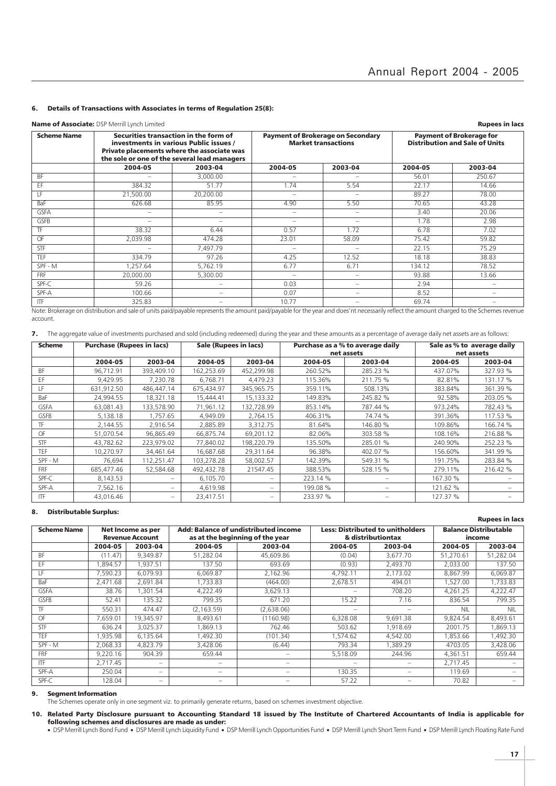#### 6. Details of Transactions with Associates in terms of Regulation 25(8):

#### Name of Associate: DSP Merrill Lynch Limited **Rupees in lacs**

| <b>THING OF FISSO CIRCLE DELIVERED EXPLOSI</b> TION CONTINUOUS |                                                                                                                                                                               |                          |                          |                                                                        |                                                                          |                          |  |  |  |
|----------------------------------------------------------------|-------------------------------------------------------------------------------------------------------------------------------------------------------------------------------|--------------------------|--------------------------|------------------------------------------------------------------------|--------------------------------------------------------------------------|--------------------------|--|--|--|
| <b>Scheme Name</b>                                             | Securities transaction in the form of<br>investments in various Public issues /<br>Private placements where the associate was<br>the sole or one of the several lead managers |                          |                          | <b>Payment of Brokerage on Secondary</b><br><b>Market transactions</b> | <b>Payment of Brokerage for</b><br><b>Distribution and Sale of Units</b> |                          |  |  |  |
|                                                                | 2004-05                                                                                                                                                                       | 2003-04                  | 2004-05                  | 2003-04                                                                | 2004-05                                                                  | 2003-04                  |  |  |  |
| BF                                                             | -                                                                                                                                                                             | 3,000,00                 | $\overline{\phantom{a}}$ | $\overline{\phantom{a}}$                                               | 56.01                                                                    | 250.67                   |  |  |  |
| EF                                                             | 384.32                                                                                                                                                                        | 51.77                    | 1.74                     | 5.54                                                                   | 22.17                                                                    | 14.66                    |  |  |  |
| ΤF                                                             | 21,500.00                                                                                                                                                                     | 20,200.00                | $\overline{\phantom{a}}$ | $\qquad \qquad$                                                        | 89.27                                                                    | 78.00                    |  |  |  |
| <b>BaF</b>                                                     | 626.68                                                                                                                                                                        | 85.95                    | 4.90                     | 5.50                                                                   | 70.65                                                                    | 43.28                    |  |  |  |
| <b>GSFA</b>                                                    | -                                                                                                                                                                             | $\overline{\phantom{a}}$ | $\sim$                   | $\sim$                                                                 | 3.40                                                                     | 20.06                    |  |  |  |
| <b>GSFB</b>                                                    | -                                                                                                                                                                             | $\overline{\phantom{a}}$ | $\overline{\phantom{a}}$ | $\overline{\phantom{a}}$                                               | 1.78                                                                     | 2.98                     |  |  |  |
| TF                                                             | 38.32                                                                                                                                                                         | 6.44                     | 0.57                     | 1.72                                                                   | 6.78                                                                     | 7.02                     |  |  |  |
| OF                                                             | 2,039.98                                                                                                                                                                      | 474.28                   | 23.01                    | 58.09                                                                  | 75.42                                                                    | 59.82                    |  |  |  |
| STF                                                            | $\overline{\phantom{a}}$                                                                                                                                                      | 7,497.79                 | $\sim$                   | $\qquad \qquad$                                                        | 22.15                                                                    | 75.29                    |  |  |  |
| <b>TEF</b>                                                     | 334.79                                                                                                                                                                        | 97.26                    | 4.25                     | 12.52                                                                  | 18.18                                                                    | 38.83                    |  |  |  |
| SPF - M                                                        | 1,257.64                                                                                                                                                                      | 5,762.19                 | 6.77                     | 6.71                                                                   | 134.12                                                                   | 78.52                    |  |  |  |
| <b>FRF</b>                                                     | 20,000.00                                                                                                                                                                     | 5,300.00                 | $\overline{\phantom{a}}$ | $\overline{\phantom{0}}$                                               | 93.88                                                                    | 13.66                    |  |  |  |
| SPF-C                                                          | 59.26                                                                                                                                                                         | $\overline{\phantom{m}}$ | 0.03                     |                                                                        | 2.94                                                                     | $\sim$                   |  |  |  |
| SPF-A                                                          | 100.66                                                                                                                                                                        | -                        | 0.07                     | -                                                                      | 8.52                                                                     | $\overline{\phantom{a}}$ |  |  |  |
| <b>ITF</b>                                                     | 325.83                                                                                                                                                                        |                          | 10.77                    |                                                                        | 69.74                                                                    | $\sim$                   |  |  |  |

Note: Brokerage on distribution and sale of units paid/payable represents the amount paid/payable for the year and does'nt necessarily reflect the amount charged to the Schemes revenue account.

|  |  | 7. The aggregate value of investments purchased and sold (including redeemed) during the vear and these amounts as a percentage of average daily net assets are as follows |  |
|--|--|----------------------------------------------------------------------------------------------------------------------------------------------------------------------------|--|
|  |  |                                                                                                                                                                            |  |

| <b>Scheme</b> | <b>Purchase (Rupees in lacs)</b> |                          | Sale (Rupees in lacs) |                          |          | Purchase as a % to average daily | Sale as % to average daily |          |  |
|---------------|----------------------------------|--------------------------|-----------------------|--------------------------|----------|----------------------------------|----------------------------|----------|--|
|               |                                  |                          |                       |                          |          | net assets                       | net assets                 |          |  |
|               | 2004-05                          | 2003-04                  | 2004-05               | 2003-04                  | 2004-05  | 2003-04                          | 2004-05                    | 2003-04  |  |
| <b>BF</b>     | 96,712.91                        | 393,409.10               | 162,253.69            | 452,299.98               | 260.52%  | 285.23 %                         | 437.07%                    | 327.93 % |  |
| EF            | 9,429.95                         | 7,230.78                 | 6,768.71              | 4,479.23                 | 115.36%  | 211.75 %                         | 82.81%                     | 131.17 % |  |
| LF            | 631,912.50                       | 486,447.14               | 675,434.97            | 345,965.75               | 359.11%  | 508.13%                          | 383.84%                    | 361.39 % |  |
| BaF           | 24,994.55                        | 18,321.18                | 15,444.41             | 15,133.32                | 149.83%  | 245.82 %                         | 92.58%                     | 203.05 % |  |
| <b>GSFA</b>   | 63,081.43                        | 133,578.90               | 71,961.12             | 132,728.99               | 853.14%  | 787.44 %                         | 973.24%                    | 782.43 % |  |
| <b>GSFB</b>   | 5,138.18                         | 1,757.65                 | 4,949.09              | 2,764.15                 | 406.31%  | 74.74 %                          | 391.36%                    | 117.53 % |  |
| TF            | 2,144.55                         | 2,916.54                 | 2,885.89              | 3,312.75                 | 81.64%   | 146.80%                          | 109.86%                    | 166.74 % |  |
| OF            | 51,070.54                        | 96,865.49                | 66,875.74             | 69,201.12                | 82.06%   | 303.58 %                         | 108.16%                    | 216.88%  |  |
| STF           | 43,782.62                        | 223,979.02               | 77,840.02             | 198,220.79               | 135.50%  | 285.01 %                         | 240.90%                    | 252.23 % |  |
| <b>TEF</b>    | 10,270.97                        | 34,461.64                | 16,687.68             | 29,311.64                | 96.38%   | 402.07 %                         | 156.60%                    | 341.99 % |  |
| SPF - M       | 76,694                           | 112,251.47               | 103,278.28            | 58,002.57                | 142.39%  | 549.31 %                         | 191.75%                    | 283.84 % |  |
| <b>FRF</b>    | 685,477.46                       | 52,584.68                | 492,432.78            | 21547.45                 | 388.53%  | 528.15 %                         | 279.11%                    | 216.42 % |  |
| SPF-C         | 8,143.53                         | $\sim$                   | 6,105.70              | $\overline{\phantom{a}}$ | 223.14 % |                                  | 167.30 %                   |          |  |
| SPF-A         | 7,562.16                         | $\overline{\phantom{a}}$ | 4,619.98              | $\hspace{0.05cm}$        | 199.08 % |                                  | 121.62 %                   |          |  |
| ITF           | 43,016.46                        | $\overline{\phantom{m}}$ | 23,417.51             | $\overline{\phantom{a}}$ | 233.97 % |                                  | 127.37 %                   |          |  |

#### 8. Distributable Surplus:

| <b>Scheme Name</b> | Net Income as per<br><b>Revenue Account</b> |                          |                   | Add: Balance of undistributed income<br>as at the beginning of the year | <b>Less: Distributed to unitholders</b><br>& distributiontax |          |           | <b>Balance Distributable</b><br>income |  |  |
|--------------------|---------------------------------------------|--------------------------|-------------------|-------------------------------------------------------------------------|--------------------------------------------------------------|----------|-----------|----------------------------------------|--|--|
|                    | 2004-05                                     | 2003-04                  | 2004-05           | 2003-04                                                                 | 2004-05                                                      | 2003-04  | 2004-05   | 2003-04                                |  |  |
| <b>BF</b>          | (11.47)                                     | 9.349.87                 | 51,282.04         | 45,609.86                                                               | (0.04)                                                       | 3.677.70 | 51.270.61 | 51,282.04                              |  |  |
| EF                 | .894.57                                     | .937.51                  | 137.50            | 693.69                                                                  | (0.93)                                                       | 2.493.70 | 2.033.00  | 137.50                                 |  |  |
| ΙF                 | 7,590.23                                    | 6,079.93                 | 6,069.87          | 2,162.96                                                                | 4,792.11                                                     | 2,173.02 | 8,867.99  | 6,069.87                               |  |  |
| BaF                | 2,471.68                                    | 2,691.84                 | 1,733.83          | (464.00)                                                                | 2,678.51                                                     | 494.01   | 1,527.00  | 1,733.83                               |  |  |
| <b>GSFA</b>        | 38.76                                       | 1,301.54                 | 4,222.49          | 3,629.13                                                                |                                                              | 708.20   | 4,261.25  | 4,222.47                               |  |  |
| <b>GSFB</b>        | 52.41                                       | 135.32                   | 799.35            | 671.20                                                                  | 15.22                                                        | 7.16     | 836.54    | 799.35                                 |  |  |
| TF                 | 550.31                                      | 474.47                   | (2, 163.59)       | (2,638.06)                                                              | -                                                            |          | NIL.      | <b>NIL</b>                             |  |  |
| OF                 | 7,659.01                                    | 19,345.97                | 8,493.61          | (1160.98)                                                               | 6,328.08                                                     | 9,691.38 | 9,824.54  | 8,493.61                               |  |  |
| STF                | 636.24                                      | 3,025.37                 | 1,869.13          | 762.46                                                                  | 503.62                                                       | 1,918.69 | 2001.75   | ,869.13                                |  |  |
| TEF                | ,935.98                                     | 6,135.64                 | 1,492.30          | (101.34)                                                                | ,574.62                                                      | 4,542.00 | 853.66    | 1,492.30                               |  |  |
| SPF - M            | 2.068.33                                    | 4.823.79                 | 3,428.06          | (6.44)                                                                  | 793.34                                                       | .389.29  | 4703.05   | 3,428.06                               |  |  |
| FRF                | 9,220.16                                    | 904.39                   | 659.44            | -                                                                       | 5,518.09                                                     | 244.96   | 4,361.51  | 659.44                                 |  |  |
| ITF                | 2,717.45                                    |                          |                   |                                                                         | -                                                            |          | 2,717.45  |                                        |  |  |
| SPF-A              | 250.04                                      | $\overline{\phantom{a}}$ | $\hspace{0.05cm}$ | -                                                                       | 130.35                                                       | -        | 119.69    |                                        |  |  |
| SPF-C              | 128.04                                      | $\overline{\phantom{a}}$ | $\sim$            |                                                                         | 57.22                                                        |          | 70.82     |                                        |  |  |

#### 9. Segment Information

The Schemes operate only in one segment viz. to primarily generate returns, based on schemes investment objective.

#### 10. Related Party Disclosure pursuant to Accounting Standard 18 issued by The Institute of Chartered Accountants of India is applicable for following schemes and disclosures are made as under:

ODSP Merrill Lynch Bond Fund • DSP Merrill Lynch Liquidity Fund • DSP Merrill Lynch Opportunities Fund • DSP Merrill Lynch Short Term Fund • DSP Merrill Lynch Floating Rate Fund • DSP Merrill Lynch Floating Rate Fund

Rupees in lacs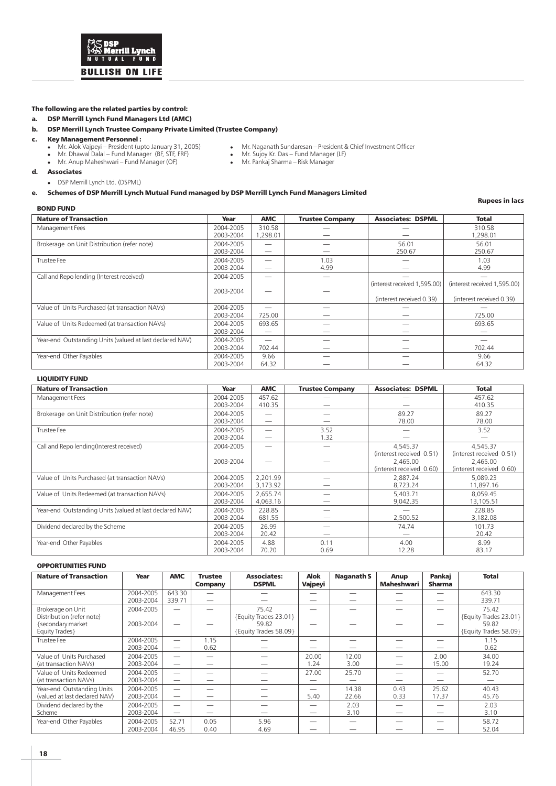

#### The following are the related parties by control:

a. DSP Merrill Lynch Fund Managers Ltd (AMC)

#### b. DSP Merrill Lynch Trustee Company Private Limited (Trustee Company)

#### c. Key Management Personnel :

- 
- Mr. Dhawal Dalal Fund Manager (BF, STF, FRF) Mr. Sujoy Kr. Das Fund Manager (LF) Mr. Anup Maheshwari Fund Manager (OF) Mr. Pankaj Sharma Risk Manager
- 
- Mr. Naganath Sundaresan President & Chief Investment Officer<br>• Mr. Sujoy Kr. Das Fund Manager (LF)<br>• Mr. Pankaj Sharma Risk Manager

#### d. Associates

DSP Merrill Lynch Ltd. (DSPML)

#### e. Schemes of DSP Merrill Lynch Mutual Fund managed by DSP Merrill Lynch Fund Managers Limited

#### BOND FUND

Rupees in lacs

| <b>Nature of Transaction</b>                             |           |            |                        | <b>Associates: DSPML</b>     |                              |
|----------------------------------------------------------|-----------|------------|------------------------|------------------------------|------------------------------|
|                                                          | Year      | <b>AMC</b> | <b>Trustee Company</b> |                              | <b>Total</b>                 |
| Management Fees                                          | 2004-2005 | 310.58     |                        |                              | 310.58                       |
|                                                          | 2003-2004 | 1,298.01   |                        |                              | 1,298.01                     |
| Brokerage on Unit Distribution (refer note)              | 2004-2005 |            |                        | 56.01                        | 56.01                        |
|                                                          | 2003-2004 |            |                        | 250.67                       | 250.67                       |
| Trustee Fee                                              | 2004-2005 |            | 1.03                   |                              | 1.03                         |
|                                                          | 2003-2004 |            | 4.99                   |                              | 4.99                         |
| Call and Repo lending (Interest received)                | 2004-2005 | _          |                        |                              |                              |
|                                                          |           |            |                        | (interest received 1,595.00) | (interest received 1,595.00) |
|                                                          | 2003-2004 |            |                        |                              |                              |
|                                                          |           |            |                        | (interest received 0.39)     | (interest received 0.39)     |
| Value of Units Purchased (at transaction NAVs)           | 2004-2005 |            |                        |                              |                              |
|                                                          | 2003-2004 | 725.00     |                        |                              | 725.00                       |
| Value of Units Redeemed (at transaction NAVs)            | 2004-2005 | 693.65     |                        |                              | 693.65                       |
|                                                          | 2003-2004 | _          |                        |                              |                              |
| Year-end Outstanding Units (valued at last declared NAV) | 2004-2005 | -          |                        |                              |                              |
|                                                          | 2003-2004 | 702.44     |                        |                              | 702.44                       |
| Year-end Other Payables                                  | 2004-2005 | 9.66       |                        |                              | 9.66                         |
|                                                          | 2003-2004 | 64.32      |                        |                              | 64.32                        |

#### LIQUIDITY FUND

| <b>Nature of Transaction</b>                             | Year      | <b>AMC</b>               | <b>Trustee Company</b> | <b>Associates: DSPML</b> | <b>Total</b>             |
|----------------------------------------------------------|-----------|--------------------------|------------------------|--------------------------|--------------------------|
| Management Fees                                          | 2004-2005 | 457.62                   |                        |                          | 457.62                   |
|                                                          | 2003-2004 | 410.35                   |                        |                          | 410.35                   |
| Brokerage on Unit Distribution (refer note)              | 2004-2005 |                          |                        | 89.27                    | 89.27                    |
|                                                          | 2003-2004 |                          |                        | 78.00                    | 78.00                    |
| Trustee Fee                                              | 2004-2005 |                          | 3.52                   |                          | 3.52                     |
|                                                          | 2003-2004 | $\overline{\phantom{a}}$ | 1.32                   |                          |                          |
| Call and Repo lending(Interest received)                 | 2004-2005 |                          |                        | 4,545.37                 | 4,545.37                 |
|                                                          |           |                          |                        | (interest received 0.51) | (interest received 0.51) |
|                                                          | 2003-2004 |                          |                        | 2,465.00                 | 2,465.00                 |
|                                                          |           |                          |                        | (interest received 0.60) | (interest received 0.60) |
| Value of Units Purchased (at transaction NAVs)           | 2004-2005 | 2,201.99                 |                        | 2.887.24                 | 5.089.23                 |
|                                                          | 2003-2004 | 3,173.92                 |                        | 8,723.24                 | 11,897.16                |
| Value of Units Redeemed (at transaction NAVs)            | 2004-2005 | 2,655.74                 |                        | 5,403.71                 | 8.059.45                 |
|                                                          | 2003-2004 | 4,063.16                 |                        | 9.042.35                 | 13,105.51                |
| Year-end Outstanding Units (valued at last declared NAV) | 2004-2005 | 228.85                   |                        |                          | 228.85                   |
|                                                          | 2003-2004 | 681.55                   |                        | 2,500.52                 | 3,182.08                 |
| Dividend declared by the Scheme                          | 2004-2005 | 26.99                    |                        | 74.74                    | 101.73                   |
|                                                          | 2003-2004 | 20.42                    |                        |                          | 20.42                    |
| Year-end Other Payables                                  | 2004-2005 | 4.88                     | 0.11                   | 4.00                     | 8.99                     |
|                                                          | 2003-2004 | 70.20                    | 0.69                   | 12.28                    | 83.17                    |

#### OPPORTUNITIES FUND

| <b>Nature of Transaction</b>                                                          | Year                   | <b>AMC</b>       | <b>Trustee</b><br>Company | <b>Associates:</b><br><b>DSPML</b>                               | <b>Alok</b><br>Vajpeyi            | <b>Naganath S</b> | Anup<br><b>Maheshwari</b> | Pankai<br><b>Sharma</b> | <b>Total</b>                                                     |
|---------------------------------------------------------------------------------------|------------------------|------------------|---------------------------|------------------------------------------------------------------|-----------------------------------|-------------------|---------------------------|-------------------------|------------------------------------------------------------------|
| Management Fees                                                                       | 2004-2005<br>2003-2004 | 643.30<br>339.71 |                           |                                                                  |                                   |                   |                           |                         | 643.30<br>339.71                                                 |
| Brokerage on Unit<br>Distribution (refer note)<br>{secondary market<br>Equity Trades} | 2004-2005<br>2003-2004 |                  |                           | 75.42<br>{Equity Trades 23.01}<br>59.82<br>{Equity Trades 58.09} |                                   |                   |                           |                         | 75.42<br>{Equity Trades 23.01}<br>59.82<br>{Equity Trades 58.09} |
| Trustee Fee                                                                           | 2004-2005<br>2003-2004 | –                | 1.15<br>0.62              |                                                                  |                                   |                   |                           |                         | 1.15<br>0.62                                                     |
| Value of Units Purchased<br>(at transaction NAVs)                                     | 2004-2005<br>2003-2004 | -<br>–           |                           |                                                                  | 20.00<br>1.24                     | 12.00<br>3.00     |                           | 2.00<br>15.00           | 34.00<br>19.24                                                   |
| Value of Units Redeemed<br>(at transaction NAVs)                                      | 2004-2005<br>2003-2004 | -<br>_           |                           |                                                                  | 27.00<br>$\overline{\phantom{a}}$ | 25.70             |                           |                         | 52.70                                                            |
| Year-end Outstanding Units<br>(valued at last declared NAV)                           | 2004-2005<br>2003-2004 | -<br>-           |                           |                                                                  | __<br>5.40                        | 14.38<br>22.66    | 0.43<br>0.33              | 25.62<br>17.37          | 40.43<br>45.76                                                   |
| Dividend declared by the<br>Scheme                                                    | 2004-2005<br>2003-2004 | -<br>-           |                           |                                                                  | $\overline{\phantom{a}}$          | 2.03<br>3.10      |                           |                         | 2.03<br>3.10                                                     |
| Year-end Other Payables                                                               | 2004-2005<br>2003-2004 | 52.71<br>46.95   | 0.05<br>0.40              | 5.96<br>4.69                                                     |                                   |                   |                           |                         | 58.72<br>52.04                                                   |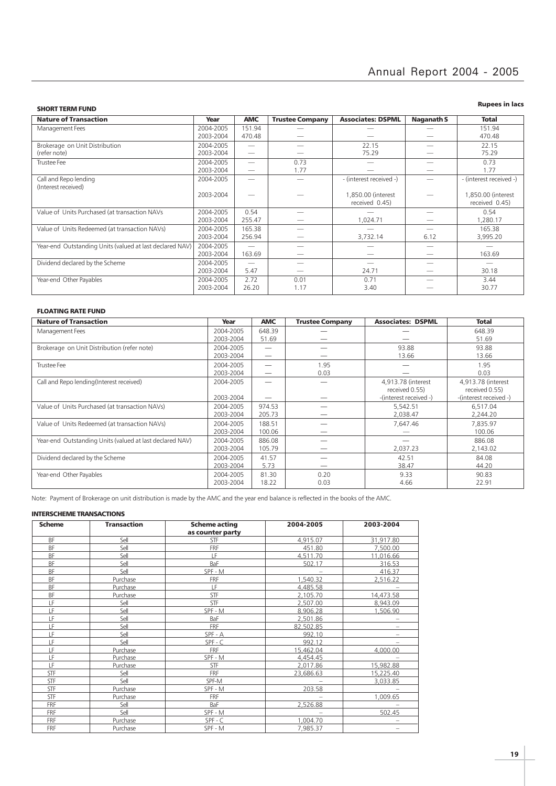| <b>SHORT TERM FUND</b> |  |
|------------------------|--|
|                        |  |

#### Rupees in lacs

|           | <b>AMC</b> | <b>Trustee Company</b> | <b>Associates: DSPML</b> | Naganath S                           | <b>Total</b>            |
|-----------|------------|------------------------|--------------------------|--------------------------------------|-------------------------|
| 2004-2005 | 151.94     |                        |                          |                                      | 151.94                  |
| 2003-2004 | 470.48     |                        |                          |                                      | 470.48                  |
| 2004-2005 |            |                        | 22.15                    |                                      | 22.15                   |
| 2003-2004 | -          |                        | 75.29                    | -                                    | 75.29                   |
| 2004-2005 | -          | 0.73                   |                          |                                      | 0.73                    |
| 2003-2004 |            | 1.77                   |                          |                                      | 1.77                    |
| 2004-2005 |            |                        | - (interest received -)  |                                      | - (interest received -) |
|           |            |                        |                          |                                      |                         |
| 2003-2004 |            |                        |                          |                                      | ,850.00 (interest       |
|           |            |                        |                          |                                      | received 0.45)          |
| 2004-2005 | 0.54       |                        |                          |                                      | 0.54                    |
| 2003-2004 | 255.47     |                        | 1.024.71                 |                                      | 1,280.17                |
| 2004-2005 | 165.38     |                        |                          |                                      | 165.38                  |
| 2003-2004 | 256.94     |                        | 3,732.14                 | 6.12                                 | 3,995.20                |
| 2004-2005 | -          |                        |                          |                                      |                         |
| 2003-2004 | 163.69     |                        |                          |                                      | 163.69                  |
| 2004-2005 |            |                        |                          |                                      |                         |
| 2003-2004 | 5.47       |                        | 24.71                    |                                      | 30.18                   |
| 2004-2005 | 2.72       | 0.01                   | 0.71                     |                                      | 3.44                    |
| 2003-2004 | 26.20      | 1.17                   | 3.40                     |                                      | 30.77                   |
|           |            |                        |                          | 1,850.00 (interest<br>received 0.45) |                         |

#### FLOATING RATE FUND

| <b>Nature of Transaction</b>                             | Year      | <b>AMC</b> | <b>Trustee Company</b> | <b>Associates: DSPML</b> | <b>Total</b>           |
|----------------------------------------------------------|-----------|------------|------------------------|--------------------------|------------------------|
| Management Fees                                          | 2004-2005 | 648.39     |                        |                          | 648.39                 |
|                                                          | 2003-2004 | 51.69      |                        |                          | 51.69                  |
| Brokerage on Unit Distribution (refer note)              | 2004-2005 |            |                        | 93.88                    | 93.88                  |
|                                                          | 2003-2004 |            |                        | 13.66                    | 13.66                  |
| Trustee Fee                                              | 2004-2005 |            | 1.95                   |                          | 1.95                   |
|                                                          | 2003-2004 |            | 0.03                   |                          | 0.03                   |
| Call and Repo lending (Interest received)                | 2004-2005 | -          |                        | 4.913.78 (interest)      | 4,913.78 (interest     |
|                                                          |           |            |                        | received 0.55)           | received 0.55)         |
|                                                          | 2003-2004 |            |                        | -(interest received -)   | -(interest received -) |
| Value of Units Purchased (at transaction NAVs)           | 2004-2005 | 974.53     |                        | 5.542.51                 | 6,517.04               |
|                                                          | 2003-2004 | 205.73     |                        | 2.038.47                 | 2,244.20               |
| Value of Units Redeemed (at transaction NAVs)            | 2004-2005 | 188.51     |                        | 7.647.46                 | 7.835.97               |
|                                                          | 2003-2004 | 100.06     |                        |                          | 100.06                 |
| Year-end Outstanding Units (valued at last declared NAV) | 2004-2005 | 886.08     |                        |                          | 886.08                 |
|                                                          | 2003-2004 | 105.79     |                        | 2,037.23                 | 2.143.02               |
| Dividend declared by the Scheme                          | 2004-2005 | 41.57      |                        | 42.51                    | 84.08                  |
|                                                          | 2003-2004 | 5.73       |                        | 38.47                    | 44.20                  |
| Year-end Other Payables                                  | 2004-2005 | 81.30      | 0.20                   | 9.33                     | 90.83                  |
|                                                          | 2003-2004 | 18.22      | 0.03                   | 4.66                     | 22.91                  |

Note: Payment of Brokerage on unit distribution is made by the AMC and the year end balance is reflected in the books of the AMC.

#### INTERSCHEME TRANSACTIONS

| <b>Scheme</b> | <b>Transaction</b> | <b>Scheme acting</b> | 2004-2005 | 2003-2004 |
|---------------|--------------------|----------------------|-----------|-----------|
|               |                    | as counter party     |           |           |
| <b>BF</b>     | Sell               | STF                  | 4,915.07  | 31,917.80 |
| BF            | Sell               | <b>FRF</b>           | 451.80    | 7,500.00  |
| <b>BF</b>     | Sell               | LF                   | 4,511.70  | 11,016.66 |
| BF            | Sell               | BaF                  | 502.17    | 316.53    |
| BF            | Sell               | SPF - M              |           | 416.37    |
| <b>BF</b>     | Purchase           | <b>FRF</b>           | 1.540.32  | 2,516.22  |
| BF            | Purchase           | LF                   | 4,485.58  |           |
| BF            | Purchase           | <b>STF</b>           | 2,105.70  | 14,473.58 |
| LF            | Sell               | <b>STF</b>           | 2,507.00  | 8,943.09  |
| LF            | Sell               | SPF - M              | 8,906.28  | 1,506.90  |
| LF            | Sell               | BaF                  | 2,501.86  |           |
| LF            | Sell               | <b>FRF</b>           | 82,502.85 |           |
| LF            | Sell               | SPF - A              | 992.10    | -         |
| LF            | Sell               | $SPF - C$            | 992.12    |           |
| LF            | Purchase           | <b>FRF</b>           | 15,462.04 | 4,000.00  |
| LF            | Purchase           | SPF - M              | 4,454.45  |           |
| LF            | Purchase           | STF                  | 2,017.86  | 15,982.88 |
| STF           | Sell               | <b>FRF</b>           | 23,686.63 | 15,225.40 |
| STF           | Sell               | SPF-M                |           | 3,033.85  |
| STF           | Purchase           | SPF - M              | 203.58    |           |
| STF           | Purchase           | <b>FRF</b>           |           | 1,009.65  |
| FRF           | Sell               | BaF                  | 2,526.88  |           |
| <b>FRF</b>    | Sell               | SPF - M              |           | 502.45    |
| <b>FRF</b>    | Purchase           | $SPF - C$            | 1,004.70  |           |
| <b>FRF</b>    | Purchase           | SPF - M              | 7,985.37  |           |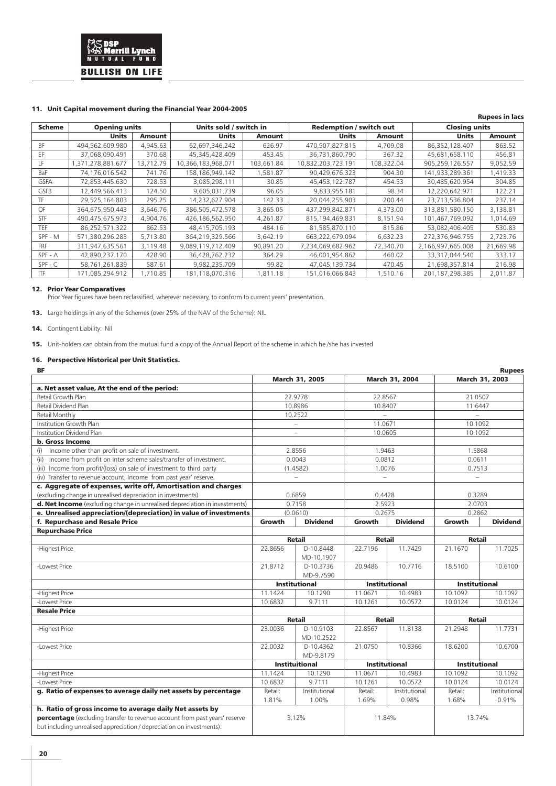

#### 11. Unit Capital movement during the Financial Year 2004-2005

#### Rupees in lacs Scheme Opening units **Units sold / switch in Redemption / switch out** Closing units Units Amount Units Amount Units Amount Units Amount BF 494,562,609.980 4,945.63 62,697,346.242 626.97 470,907,827.815 4,709.08 86,352,128.407 863.52<br>EF 37,068,090.491 370.68 45,345,428.409 453.45 36,731,860.790 367.32 45,681,658.110 456.81 EF 37,068,090.491 370.68 45,345,428.409 453.45 36,731,860.790 367.32 45,681,658.110 456.81 LF 1,371,278,881.677 13,712.79 10,366,183,968.071 103,661.84 10,832,203,723.191 108,322.04 905,259,126.557 9,052.59 BaF 74,176,016.542 741.76 158,186,949.142 1,581.87 90,429,676.323 904.30 141,933,289.361 1,419.33 GSFA | 72,853,445.630 | 728.53 | 3,085,298.111 | 30.85 | 45,453,122.787 | 454.53 | 30,485,620.954 | 304.85 GSFB | 12,449,566.413 | 124.50 | 9,605,031.739 | 96.05 | 9,833,955.181 | 98.34 | 12,220,642.971 | 122.21 TF 29,525,164.803 295.25 14,232,627.904 142.33 20,044,255.903 200.44 23,713,536.804 237.14 OF 364,675,950.443 3,646.76 386,505,472.578 3,865.05 437,299,842.871 4,373.00 313,881,580.150 3,138.81 STF 490,475,675.973 4,904.76 426,186,562.950 4,261.87 815,194,469.831 8,151.94 101,467,769.092 1,014.69 TEF 86,252,571.322 862.53 48,415,705.193 484.16 81,585,870.110 815.86 53,082,406.405 530.83 SPF - M | 571,380,296.283 | 5,713.80 | 364,219,329.566 | 3,642.19 | 663,222,679.094 | 6,632.23 | 272,376,946.755 | 2,723.76 FRF 311,947,635.561 3,119.48 9,089,119,712.409 90,891.20 7,234,069,682.962 72,340.70 2,166,997,665.008 21,669.98 SPF - A 42,890,237.170 428.90 36,428,762.232 364.29 46,001,954.862 460.02 33,317,044.540 333.17 SPF - C | 58,761,261.839 | 587.61 | 9,982,235.709 | 99.82 | 47,045,139.734 | 470.45 | 21,698,357.814 | 216.98 ITF 171,085,294.912 1,710.85 181,118,070.316 1,811.18 151,016,066.843 1,510.16 201,187,298.385 2,011.87

#### 12. Prior Year Comparatives

Prior Year figures have been reclassified, wherever necessary, to conform to current years' presentation.

13. Large holdings in any of the Schemes (over 25% of the NAV of the Scheme): NIL

14. Contingent Liability: Nil

15. Unit-holders can obtain from the mutual fund a copy of the Annual Report of the scheme in which he /she has invested

#### 16. Perspective Historical per Unit Statistics.

| ΒF                                                                         |         |                          |                          |                      |                          | <b>Rupees</b>   |
|----------------------------------------------------------------------------|---------|--------------------------|--------------------------|----------------------|--------------------------|-----------------|
|                                                                            |         | March 31, 2005           |                          | March 31, 2004       |                          | March 31, 2003  |
| a. Net asset value, At the end of the period:                              |         |                          |                          |                      |                          |                 |
| Retail Growth Plan                                                         |         | 22.9778                  | 22.8567                  |                      | 21.0507                  |                 |
| Retail Dividend Plan                                                       |         | 10.8986                  | 10.8407                  |                      | 11.6447                  |                 |
| Retail Monthly                                                             |         | 10.2522                  | $\equiv$                 |                      | $\overline{\phantom{0}}$ |                 |
| Institution Growth Plan                                                    |         | $\overline{\phantom{0}}$ | 11.0671                  |                      | 10.1092                  |                 |
| Institution Dividend Plan                                                  |         | $\overline{\phantom{0}}$ | 10.0605                  |                      | 10.1092                  |                 |
| b. Gross Income                                                            |         |                          |                          |                      |                          |                 |
| Income other than profit on sale of investment.<br>(i)                     |         | 2.8556                   | 1.9463                   |                      | 1.5868                   |                 |
| Income from profit on inter scheme sales/transfer of investment.<br>(ii)   |         | 0.0043                   | 0.0812                   |                      | 0.0611                   |                 |
| Income from profit/(loss) on sale of investment to third party<br>(iii)    |         | (1.4582)                 | 1.0076                   |                      | 0.7513                   |                 |
| (iv) Transfer to revenue account, Income from past year' reserve.          |         | $\overline{\phantom{0}}$ | $\overline{\phantom{0}}$ |                      | ÷.                       |                 |
| c. Aggregate of expenses, write off, Amortisation and charges              |         |                          |                          |                      |                          |                 |
| (excluding change in unrealised depreciation in investments)               |         | 0.6859                   | 0.4428                   |                      | 0.3289                   |                 |
| d. Net Income (excluding change in unrealised depreciation in investments) |         | 0.7158                   | 2.5923                   |                      | 2.0703                   |                 |
| e. Unrealised appreciation/(depreciation) in value of investments          |         | (0.0610)                 | 0.2675                   |                      | 0.2862                   |                 |
| f. Repurchase and Resale Price                                             | Growth  | <b>Dividend</b>          | Growth                   | <b>Dividend</b>      | Growth                   | <b>Dividend</b> |
| <b>Repurchase Price</b>                                                    |         |                          |                          |                      |                          |                 |
|                                                                            |         | <b>Retail</b>            | <b>Retail</b>            |                      | <b>Retail</b>            |                 |
| -Highest Price                                                             | 22.8656 | D-10.8448                | 22.7196                  | 11.7429              | 21.1670                  | 11.7025         |
|                                                                            |         | MD-10.1907               |                          |                      |                          |                 |
| -Lowest Price                                                              | 21.8712 | D-10.3736                | 20.9486                  | 10.7716              | 18.5100                  | 10.6100         |
|                                                                            |         | MD-9.7590                |                          |                      |                          |                 |
|                                                                            |         | <b>Institutional</b>     |                          | <b>Institutional</b> | <b>Institutional</b>     |                 |
| -Highest Price                                                             | 11.1424 | 10.1290                  | 11.0671                  | 10.4983              | 10.1092                  | 10.1092         |
| -Lowest Price                                                              | 10.6832 | 9.7111                   | 10.1261                  | 10.0572              | 10.0124                  | 10.0124         |
| <b>Resale Price</b>                                                        |         |                          |                          |                      |                          |                 |
|                                                                            |         | <b>Retail</b>            | <b>Retail</b>            |                      | <b>Retail</b>            |                 |
| -Highest Price                                                             | 23.0036 | D-10.9103                | 22.8567                  | 11.8138              | 21.2948                  | 11.7731         |
|                                                                            |         | MD-10.2522               |                          |                      |                          |                 |
| -Lowest Price                                                              | 22.0032 | D-10.4362                | 21.0750                  | 10.8366              | 18.6200                  | 10.6700         |
|                                                                            |         | MD-9.8179                |                          |                      |                          |                 |
|                                                                            |         | <b>Instituitional</b>    |                          | <b>Institutional</b> | <b>Institutional</b>     |                 |
| -Highest Price                                                             | 11.1424 | 10.1290                  | 11.0671                  | 10.4983              | 10.1092                  | 10.1092         |
| -Lowest Price                                                              | 10.6832 | 9.7111                   | 10.1261                  | 10.0572              | 10.0124                  | 10.0124         |
| g. Ratio of expenses to average daily net assets by percentage             | Retail: | Institutional            | Retail:                  | Institutional        | Retail:                  | Institutional   |
|                                                                            | 1.81%   | 1.00%                    | 1.69%                    | 0.98%                | 1.68%                    | 0.91%           |
| h. Ratio of gross income to average daily Net assets by                    |         |                          |                          |                      |                          |                 |
| percentage (excluding transfer to revenue account from past years' reserve |         | 3.12%                    | 11.84%                   |                      | 13.74%                   |                 |
| but including unrealised appreciation / depreciation on investments).      |         |                          |                          |                      |                          |                 |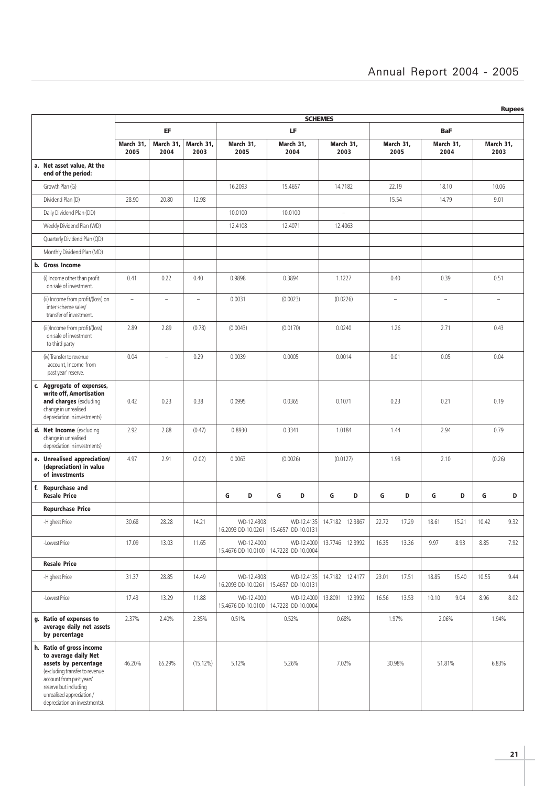|  | ı |
|--|---|
|  |   |

|                                                                                                                                                                                                                              |                          |                   |                   |                                  |                                  | <b>SCHEMES</b>    |                   |                   |                   |
|------------------------------------------------------------------------------------------------------------------------------------------------------------------------------------------------------------------------------|--------------------------|-------------------|-------------------|----------------------------------|----------------------------------|-------------------|-------------------|-------------------|-------------------|
|                                                                                                                                                                                                                              |                          | EF                |                   |                                  | LF                               |                   |                   | <b>BaF</b>        |                   |
|                                                                                                                                                                                                                              | March 31,<br>2005        | March 31,<br>2004 | March 31,<br>2003 | March 31,<br>2005                | March 31,<br>2004                | March 31,<br>2003 | March 31,<br>2005 | March 31.<br>2004 | March 31,<br>2003 |
| a. Net asset value, At the<br>end of the period:                                                                                                                                                                             |                          |                   |                   |                                  |                                  |                   |                   |                   |                   |
| Growth Plan (G)                                                                                                                                                                                                              |                          |                   |                   | 16.2093                          | 15.4657                          | 14.7182           | 22.19             | 18.10             | 10.06             |
| Dividend Plan (D)                                                                                                                                                                                                            | 28.90                    | 20.80             | 12.98             |                                  |                                  |                   | 15.54             | 14.79             | 9.01              |
| Daily Dividend Plan (DD)                                                                                                                                                                                                     |                          |                   |                   | 10.0100                          | 10.0100                          | $\sim$            |                   |                   |                   |
| Weekly Dividend Plan (WD)                                                                                                                                                                                                    |                          |                   |                   | 12.4108                          | 12.4071                          | 12.4063           |                   |                   |                   |
| Quarterly Dividend Plan (QD)                                                                                                                                                                                                 |                          |                   |                   |                                  |                                  |                   |                   |                   |                   |
| Monthly Dividend Plan (MD)                                                                                                                                                                                                   |                          |                   |                   |                                  |                                  |                   |                   |                   |                   |
| b. Gross Income                                                                                                                                                                                                              |                          |                   |                   |                                  |                                  |                   |                   |                   |                   |
| (i) Income other than profit<br>on sale of investment.                                                                                                                                                                       | 0.41                     | 0.22              | 0.40              | 0.9898                           | 0.3894                           | 1.1227            | 0.40              | 0.39              | 0.51              |
| (ii) Income from profit/(loss) on<br>inter scheme sales/<br>transfer of investment.                                                                                                                                          | $\overline{\phantom{a}}$ | L.                | L.                | 0.0031                           | (0.0023)                         | (0.0226)          | ۷                 | ÷.                |                   |
| (iii)Income from profit/(loss)<br>on sale of investment<br>to third party                                                                                                                                                    | 2.89                     | 2.89              | (0.78)            | (0.0043)                         | (0.0170)                         | 0.0240            | 1.26              | 2.71              | 0.43              |
| (iv) Transfer to revenue<br>account, Income from<br>past year' reserve.                                                                                                                                                      | 0.04                     | ÷                 | 0.29              | 0.0039                           | 0.0005                           | 0.0014            | 0.01              | 0.05              | 0.04              |
| c. Aggregate of expenses,<br>write off, Amortisation<br>and charges (excluding<br>change in unrealised<br>depreciation in investments)                                                                                       | 0.42                     | 0.23              | 0.38              | 0.0995                           | 0.0365                           | 0.1071            | 0.23              | 0.21              | 0.19              |
| d. Net Income (excluding<br>change in unrealised<br>depreciation in investments)                                                                                                                                             | 2.92                     | 2.88              | (0.47)            | 0.8930                           | 0.3341                           | 1.0184            | 1.44              | 2.94              | 0.79              |
| e. Unrealised appreciation/<br>(depreciation) in value<br>of investments                                                                                                                                                     | 4.97                     | 2.91              | (2.02)            | 0.0063                           | (0.0026)                         | (0.0127)<br>1.98  |                   | 2.10              | (0.26)            |
| f. Repurchase and<br><b>Resale Price</b>                                                                                                                                                                                     |                          |                   |                   | G<br>D                           | G<br>D                           | G<br>D            | G<br>D            | G<br>D            | G<br>D            |
| <b>Repurchase Price</b>                                                                                                                                                                                                      |                          |                   |                   |                                  |                                  |                   |                   |                   |                   |
| -Highest Price                                                                                                                                                                                                               | 30.68                    | 28.28             | 14.21             | WD-12.4308<br>16.2093 DD-10.0261 | WD-12.4135<br>15.4657 DD-10.0131 | 14.7182 12.3867   | 22.72<br>17.29    | 18.61<br>15.21    | 10.42<br>9.32     |
| -Lowest Price                                                                                                                                                                                                                | 17.09                    | 13.03             | 11.65             | WD-12.4000<br>15.4676 DD-10.0100 | WD-12.4000<br>14.7228 DD-10.0004 | 13.7746 12.3992   | 16.35<br>13.36    | 9.97<br>8.93      | 8.85<br>7.92      |
| <b>Resale Price</b>                                                                                                                                                                                                          |                          |                   |                   |                                  |                                  |                   |                   |                   |                   |
| -Highest Price                                                                                                                                                                                                               | 31.37                    | 28.85             | 14.49             | WD-12.4308<br>16.2093 DD-10.0261 | WD-12.4135<br>15.4657 DD-10.0131 | 14.7182 12.4177   | 23.01<br>17.51    | 18.85<br>15.40    | 9.44<br>10.55     |
| -Lowest Price                                                                                                                                                                                                                | 17.43                    | 13.29             | 11.88             | WD-12.4000<br>15.4676 DD-10.0100 | WD-12.4000<br>14.7228 DD-10.0004 | 13.8091 12.3992   | 16.56<br>13.53    | 10.10<br>9.04     | 8.96<br>8.02      |
| g. Ratio of expenses to<br>average daily net assets<br>by percentage                                                                                                                                                         | 2.37%                    | 2.40%             | 2.35%             | 0.51%                            | 0.52%                            | 0.68%             | 1.97%             | 2.06%             | 1.94%             |
| h. Ratio of gross income<br>to average daily Net<br>assets by percentage<br>(excluding transfer to revenue<br>account from past years'<br>reserve but including<br>unrealised appreciation/<br>depreciation on investments). | 46.20%                   | 65.29%            | (15.12%)          | 5.12%                            | 5.26%                            | 7.02%             | 30.98%            | 51.81%            | 6.83%             |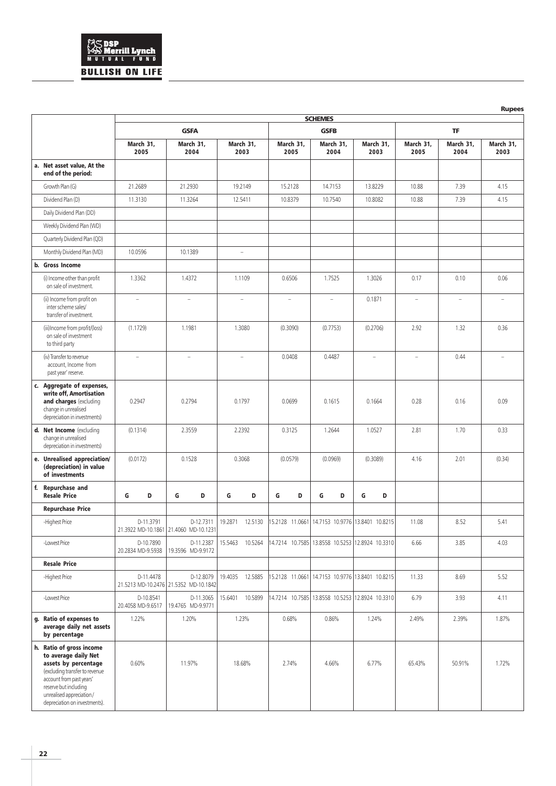## **AS DSP<br>AD Merrill Lynch<br>MUTUAL FUND BULLISH ON LIFE**

|                                                                                                                                                                                                                              |                                 |                                                    |                          |                                                 |                                                 |                                                 |                          |                   | <b>Rupees</b>            |
|------------------------------------------------------------------------------------------------------------------------------------------------------------------------------------------------------------------------------|---------------------------------|----------------------------------------------------|--------------------------|-------------------------------------------------|-------------------------------------------------|-------------------------------------------------|--------------------------|-------------------|--------------------------|
|                                                                                                                                                                                                                              |                                 |                                                    |                          |                                                 | <b>SCHEMES</b>                                  |                                                 |                          |                   |                          |
|                                                                                                                                                                                                                              |                                 | <b>GSFA</b>                                        |                          |                                                 | <b>GSFB</b>                                     |                                                 |                          | <b>TF</b>         |                          |
|                                                                                                                                                                                                                              | March 31,<br>2005               | March 31,<br>2004                                  | March 31,<br>2003        | March 31,<br>2005                               | March 31,<br>2004                               | March 31,<br>2003                               | March 31,<br>2005        | March 31,<br>2004 | March 31,<br>2003        |
| a. Net asset value, At the<br>end of the period:                                                                                                                                                                             |                                 |                                                    |                          |                                                 |                                                 |                                                 |                          |                   |                          |
| Growth Plan (G)                                                                                                                                                                                                              | 21.2689                         | 21.2930                                            | 19.2149                  | 15.2128                                         | 14.7153                                         | 13.8229                                         | 10.88                    | 7.39              | 4.15                     |
| Dividend Plan (D)                                                                                                                                                                                                            | 11.3130                         | 11.3264                                            | 12.5411                  | 10.8379                                         | 10.7540                                         | 10.8082                                         | 10.88                    | 7.39              | 4.15                     |
| Daily Dividend Plan (DD)                                                                                                                                                                                                     |                                 |                                                    |                          |                                                 |                                                 |                                                 |                          |                   |                          |
| Weekly Dividend Plan (WD)                                                                                                                                                                                                    |                                 |                                                    |                          |                                                 |                                                 |                                                 |                          |                   |                          |
| Quarterly Dividend Plan (QD)                                                                                                                                                                                                 |                                 |                                                    |                          |                                                 |                                                 |                                                 |                          |                   |                          |
| Monthly Dividend Plan (MD)                                                                                                                                                                                                   | 10.0596                         | 10.1389                                            | $\overline{\phantom{a}}$ |                                                 |                                                 |                                                 |                          |                   |                          |
| b. Gross Income                                                                                                                                                                                                              |                                 |                                                    |                          |                                                 |                                                 |                                                 |                          |                   |                          |
| (i) Income other than profit<br>on sale of investment.                                                                                                                                                                       | 1.3362                          | 1.4372                                             | 1.1109                   | 0.6506                                          | 1.7525                                          | 1.3026                                          | 0.17                     | 0.10              | 0.06                     |
| (ii) Income from profit on<br>inter scheme sales/<br>transfer of investment.                                                                                                                                                 |                                 |                                                    |                          | L.                                              |                                                 | 0.1871                                          | $\overline{\phantom{a}}$ |                   |                          |
| (iii)Income from profit/(loss)<br>on sale of investment<br>to third party                                                                                                                                                    | (1.1729)                        | 1.1981                                             | 1.3080                   | (0.3090)                                        | (0.7753)                                        | (0.2706)                                        | 2.92                     | 1.32              | 0.36                     |
| (iv) Transfer to revenue<br>account, Income from<br>past year' reserve.                                                                                                                                                      | $\bar{ }$                       | $\overline{\phantom{a}}$                           | $\overline{\phantom{a}}$ | 0.0408                                          | 0.4487                                          | $\overline{\phantom{a}}$                        | $\overline{\phantom{m}}$ | 0.44              | $\overline{\phantom{a}}$ |
| c. Aggregate of expenses,<br>write off, Amortisation<br>and charges (excluding<br>change in unrealised<br>depreciation in investments)                                                                                       | 0.2947                          | 0.2794                                             | 0.1797                   | 0.0699                                          | 0.1615                                          | 0.1664                                          | 0.28                     | 0.16              | 0.09                     |
| d. Net Income (excluding<br>change in unrealised<br>depreciation in investments)                                                                                                                                             | (0.1314)                        | 2.3559                                             | 2.2392                   | 0.3125                                          | 1.2644                                          | 1.0527                                          | 2.81                     | 1.70              | 0.33                     |
| e. Unrealised appreciation/<br>(depreciation) in value<br>of investments                                                                                                                                                     | (0.0172)                        | 0.1528                                             | 0.3068                   | (0.0579)                                        | (0.0969)                                        | (0.3089)                                        | 4.16                     | 2.01              | (0.34)                   |
| f. Repurchase and<br><b>Resale Price</b>                                                                                                                                                                                     | G<br>D                          | G<br>D                                             | G<br>D                   | G<br>D                                          | G<br>D                                          | G<br>D                                          |                          |                   |                          |
| <b>Repurchase Price</b>                                                                                                                                                                                                      |                                 |                                                    |                          |                                                 |                                                 |                                                 |                          |                   |                          |
| -Highest Price                                                                                                                                                                                                               | D-11.3791                       | D-12.7311<br>21.3922 MD-10.1861 21.4060 MD-10.1231 | 19.2871<br>12.5130       | 15.2128 11.0661 14.7153 10.9776 13.8401 10.8215 |                                                 |                                                 | 11.08                    | 8.52              | 5.41                     |
| -Lowest Price                                                                                                                                                                                                                | D-10.7890<br>20.2834 MD-9.5938  | D-11.2387<br>19.3596 MD-9.9172                     | 15.5463 10.5264          |                                                 |                                                 | 14.7214 10.7585 13.8558 10.5253 12.8924 10.3310 | 6.66                     | 3.85              | 4.03                     |
| <b>Resale Price</b>                                                                                                                                                                                                          |                                 |                                                    |                          |                                                 |                                                 |                                                 |                          |                   |                          |
| -Highest Price                                                                                                                                                                                                               | D-11.4478<br>21.5213 MD-10.2476 | D-12.8079<br>21.5352 MD-10.1842                    | 19.4035 12.5885          |                                                 | 15.2128 11.0661 14.7153 10.9776 13.8401 10.8215 |                                                 | 11.33                    | 8.69              | 5.52                     |
| -Lowest Price                                                                                                                                                                                                                | D-10.8541<br>20.4058 MD-9.6517  | D-11.3065<br>19.4765 MD-9.9771                     | 15.6401 10.5899          |                                                 | 14.7214 10.7585 13.8558 10.5253 12.8924 10.3310 |                                                 | 6.79                     | 3.93              | 4.11                     |
| g. Ratio of expenses to<br>average daily net assets<br>by percentage                                                                                                                                                         | 1.22%                           | 1.20%                                              | 1.23%                    | 0.68%                                           | 0.86%                                           | 1.24%                                           | 2.49%                    | 2.39%             | 1.87%                    |
| h. Ratio of gross income<br>to average daily Net<br>assets by percentage<br>(excluding transfer to revenue<br>account from past years'<br>reserve but including<br>unrealised appreciation/<br>depreciation on investments). | 0.60%                           | 11.97%                                             | 18.68%                   | 2.74%                                           | 4.66%                                           | 6.77%                                           | 65.43%                   | 50.91%            | 1.72%                    |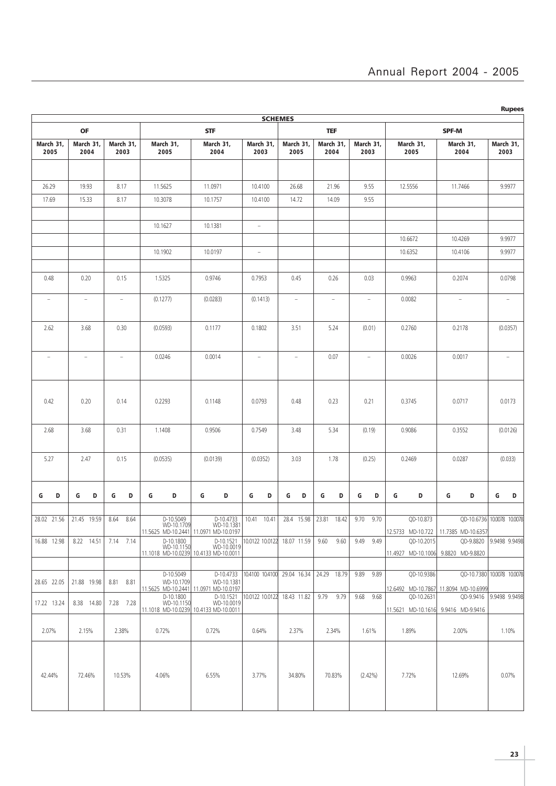| <b>Rupees</b><br><b>SCHEMES</b> |                          |                                               |                                               |                                                                  |                             |                                       |                      |                                   |                                  |                                                  |                            |  |
|---------------------------------|--------------------------|-----------------------------------------------|-----------------------------------------------|------------------------------------------------------------------|-----------------------------|---------------------------------------|----------------------|-----------------------------------|----------------------------------|--------------------------------------------------|----------------------------|--|
|                                 | <b>OF</b>                |                                               |                                               |                                                                  | <b>TEF</b>                  |                                       | <b>SPF-M</b>         |                                   |                                  |                                                  |                            |  |
| March 31,<br>2005               | March 31,<br>2004        | March 31,<br>2003                             | March 31,<br>2005                             | <b>STF</b><br>March 31,<br>March 31,<br>2004<br>2003             |                             | March 31,<br>2005                     | March 31,<br>2004    | March 31,<br>2003                 | March 31,<br>2005                | March 31,<br>2004                                | March 31,<br>2003          |  |
|                                 |                          |                                               |                                               |                                                                  |                             |                                       |                      |                                   |                                  |                                                  |                            |  |
| 26.29                           | 19.93                    | 8.17                                          | 11.5625                                       | 11.0971                                                          | 10.4100                     | 26.68                                 | 21.96                | 9.55                              | 12.5556                          | 11.7466                                          | 9.9977                     |  |
| 17.69                           | 15.33                    | 8.17                                          | 10.3078                                       | 10.1757                                                          | 10.4100                     | 14.72                                 | 14.09                | 9.55                              |                                  |                                                  |                            |  |
|                                 |                          |                                               |                                               |                                                                  |                             |                                       |                      |                                   |                                  |                                                  |                            |  |
|                                 |                          |                                               | 10.1627                                       | 10.1381                                                          | $\overline{\phantom{0}}$    |                                       |                      |                                   |                                  |                                                  |                            |  |
|                                 |                          |                                               |                                               |                                                                  |                             |                                       |                      |                                   | 10.6672                          | 10.4269                                          | 9.9977                     |  |
|                                 |                          |                                               | 10.1902                                       | 10.0197                                                          | $\overline{\phantom{a}}$    |                                       |                      |                                   | 10.6352                          | 10.4106                                          | 9.9977                     |  |
| 0.48                            | 0.20                     | 0.15                                          | 1.5325                                        | 0.9746                                                           | 0.7953                      | 0.45<br>0.26                          |                      | 0.03                              | 0.9963<br>0.2074                 |                                                  | 0.0798                     |  |
| $\overline{\phantom{a}}$        | $\overline{\phantom{0}}$ | (0.1277)<br>$\hspace{1.0cm} - \hspace{1.0cm}$ |                                               | (0.0283)                                                         | (0.1413)                    | $\overline{\phantom{a}}$<br>$\bar{ }$ |                      | $\hspace{1.0cm} - \hspace{1.0cm}$ | 0.0082                           | $\overline{\phantom{a}}$                         | $\overline{\phantom{a}}$   |  |
|                                 |                          |                                               |                                               |                                                                  |                             |                                       |                      |                                   |                                  |                                                  |                            |  |
| 2.62                            | 3.68                     | 0.30                                          | (0.0593)                                      | 0.1177                                                           | 0.1802                      | 3.51                                  | 5.24                 | (0.01)                            | 0.2760<br>0.2178                 |                                                  | (0.0357)                   |  |
| $\overline{\phantom{a}}$        | $\overline{\phantom{a}}$ | $\overline{\phantom{a}}$                      | 0.0246                                        | 0.0014                                                           | $\overline{\phantom{a}}$    | $\overline{\phantom{a}}$              | 0.07                 | $\overline{\phantom{a}}$          | 0.0026                           | 0.0017                                           | $\overline{\phantom{a}}$   |  |
| 0.42                            | 0.20                     | 0.14                                          | 0.2293                                        | 0.1148                                                           | 0.0793                      | 0.48                                  | 0.23                 | 0.21                              | 0.3745<br>0.0717                 |                                                  | 0.0173                     |  |
| 2.68                            | 3.68                     | 0.31                                          | 1.1408                                        | 0.9506                                                           |                             | 3.48                                  | 5.34<br>(0.19)       |                                   | 0.9086<br>0.3552                 |                                                  | (0.0126)                   |  |
| 5.27                            | 2.47<br>0.15             |                                               | (0.0535)                                      | (0.0139)                                                         | (0.0352)                    | 3.03<br>1.78                          |                      | (0.25)                            | 0.2469                           | 0.0287                                           | (0.033)                    |  |
| D<br>G                          | G<br>D                   | G<br>D                                        | G<br>D                                        | G<br>D                                                           | D<br>G                      | G<br>D                                | G<br>D               | D<br>G                            | G<br>G<br>D<br>D                 |                                                  | G<br>D                     |  |
|                                 |                          |                                               |                                               |                                                                  |                             |                                       |                      |                                   |                                  |                                                  |                            |  |
| 28.02 21.56                     | 21.45<br>19.59           | 8.64<br>8.64                                  | D-10.5049<br>WD-10.1709                       | D-10.4733<br>WD-10.1381<br>11.5625 MD-10.2441 11.0971 MD-10.0197 | 10.41<br>10.41              | 28.4<br>15.98                         | 23.81<br>18.42       | 9.70<br>9.70                      | QD-10.873<br>12.5733 MD-10.722   | 11.7385 MD-10.6357                               | QD-10.6736 10.0078 10.0078 |  |
| 16.88 12.98                     | $8.22$ 14.51             | 7.14 7.14                                     | D-10.1800<br>WD-10.1150                       | D-10.1521<br>WD-10.0019<br>11.1018 MD-10.0239 10.4133 MD-10.0011 | 10.0122 10.0122 18.07 11.59 |                                       | 9.60<br>9.60         | 9.49 9.49                         | QD-10.2015                       | QD-9.8820<br>11.4927 MD-10.1006 9.8820 MD-9.8820 | 9.9498 9.9498              |  |
|                                 |                          |                                               |                                               |                                                                  |                             |                                       |                      |                                   |                                  |                                                  |                            |  |
| 28.65 22.05                     | 21.88 19.98              | 8.81 8.81                                     | D-10.5049<br>WD-10.1709<br>11.5625 MD-10.2441 | D-10.4733<br>WD-10.1381<br>11.0971 MD-10.0197                    | 10.4100 10.4100             | 29.04 16.34                           | 24.29 18.79          | 9.89<br>9.89                      | QD-10.9386<br>12.6492 MD-10.7867 | 11.8094 MD-10.6999                               | QD-10.7380 10.0078 10.0078 |  |
| 17.22 13.24                     | 8.38 14.80               | 7.28 7.28                                     | D-10.1800<br>WD-10.1150                       | D-10.1521<br>WD-10.0019<br>11.1018 MD-10.0239 10.4133 MD-10.0011 | 10.0122 10.0122             | 18.43 11.82                           | 9.79<br>9.79         | 9.68<br>9.68                      | QD-10.2631                       | 11.5621 MD-10.1616 9.9416 MD-9.9416              | QD-9.9416 9.9498 9.9498    |  |
| 2.07%                           | 2.15%                    | 2.38%                                         | 0.72%                                         | 0.72%                                                            | 0.64%                       | 2.37%                                 | 2.34%                | 1.61%                             | 1.89%                            | 2.00%                                            | 1.10%                      |  |
| 42.44%                          | 72.46%                   | 10.53%                                        | 4.06%                                         | 6.55%                                                            | 3.77%                       | 34.80%                                | 70.83%<br>$(2.42\%)$ |                                   | 7.72%                            | 12.69%                                           | 0.07%                      |  |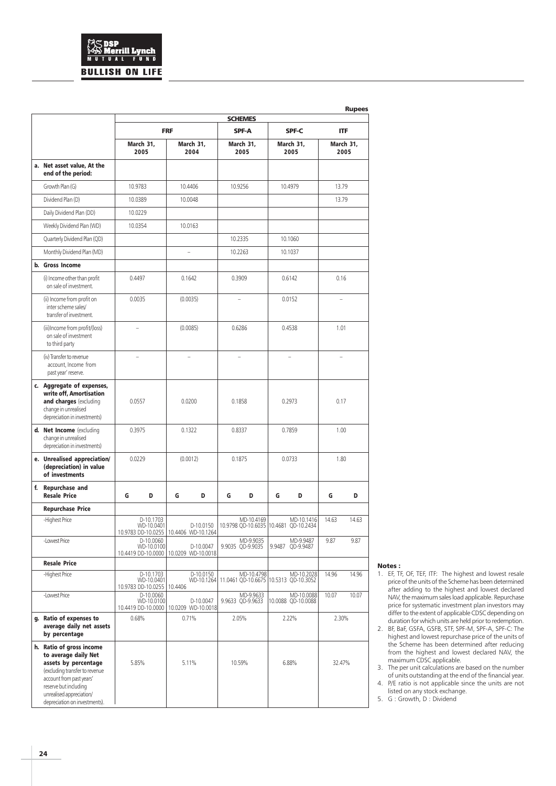## .<br>rrill Lynch  $\frac{1}{2}$ **BULLISH ON LIFE**

|                                                                                                                                                                                                                              |                              |                         |                |                                                      |           |                               |                          |                                                                |                         | <b>Rupees</b> |
|------------------------------------------------------------------------------------------------------------------------------------------------------------------------------------------------------------------------------|------------------------------|-------------------------|----------------|------------------------------------------------------|-----------|-------------------------------|--------------------------|----------------------------------------------------------------|-------------------------|---------------|
|                                                                                                                                                                                                                              | <b>FRF</b>                   |                         |                | <b>SCHEMES</b><br><b>SPF-A</b><br><b>SPF-C</b>       |           |                               |                          |                                                                |                         |               |
|                                                                                                                                                                                                                              | March 31,                    |                         | March 31,      |                                                      | March 31, |                               | March 31,                |                                                                | <b>ITF</b><br>March 31, |               |
| a. Net asset value, At the                                                                                                                                                                                                   | 2005                         |                         |                | 2004                                                 |           | 2005                          |                          | 2005                                                           |                         | 2005          |
| end of the period:<br>Growth Plan (G)                                                                                                                                                                                        | 10.9783                      |                         |                |                                                      |           |                               |                          |                                                                |                         |               |
|                                                                                                                                                                                                                              |                              |                         | 10.4406        |                                                      | 10.9256   |                               | 10.4979                  |                                                                | 13.79                   |               |
| Dividend Plan (D)                                                                                                                                                                                                            | 10.0389                      |                         | 10.0048        |                                                      |           |                               |                          |                                                                | 13.79                   |               |
| Daily Dividend Plan (DD)                                                                                                                                                                                                     | 10.0229                      |                         |                |                                                      |           |                               |                          |                                                                |                         |               |
| Weekly Dividend Plan (WD)                                                                                                                                                                                                    | 10.0354                      |                         | 10.0163        |                                                      |           |                               |                          |                                                                |                         |               |
| Quarterly Dividend Plan (QD)                                                                                                                                                                                                 |                              |                         |                |                                                      | 10.2335   |                               | 10.1060                  |                                                                |                         |               |
| Monthly Dividend Plan (MD)                                                                                                                                                                                                   |                              |                         | $\overline{a}$ |                                                      | 10.2263   |                               | 10.1037                  |                                                                |                         |               |
| b. Gross Income                                                                                                                                                                                                              |                              |                         |                |                                                      |           |                               |                          |                                                                |                         |               |
| (i) Income other than profit<br>on sale of investment.                                                                                                                                                                       | 0.4497                       |                         | 0.1642         |                                                      | 0.3909    |                               | 0.6142                   |                                                                | 0.16                    |               |
| (ii) Income from profit on<br>inter scheme sales/<br>transfer of investment.                                                                                                                                                 | 0.0035                       |                         | (0.0035)       |                                                      |           |                               | 0.0152                   |                                                                |                         |               |
| (iii)Income from profit/(loss)<br>on sale of investment<br>to third party                                                                                                                                                    |                              |                         | (0.0085)       |                                                      | 0.6286    |                               | 0.4538                   |                                                                | 1.01                    |               |
| (iv) Transfer to revenue<br>account. Income from<br>past year' reserve.                                                                                                                                                      | ÷.                           |                         | ۳              |                                                      |           |                               | $\overline{\phantom{a}}$ |                                                                | L,                      |               |
| c. Aggregate of expenses,<br>write off, Amortisation<br>and charges (excluding<br>change in unrealised<br>depreciation in investments)                                                                                       | 0.0557                       |                         | 0.0200         |                                                      | 0.1858    |                               | 0.2973                   |                                                                | 0.17                    |               |
| d. Net Income (excluding<br>change in unrealised<br>depreciation in investments)                                                                                                                                             | 0.3975                       |                         | 0.1322         |                                                      | 0.8337    |                               | 0.7859                   |                                                                | 1.00                    |               |
| e. Unrealised appreciation/<br>(depreciation) in value<br>of investments                                                                                                                                                     | 0.0229                       |                         | (0.0012)       |                                                      | 0.1875    |                               | 0.0733                   |                                                                | 1.80                    |               |
| f. Repurchase and<br><b>Resale Price</b>                                                                                                                                                                                     | G                            | D                       | G              | D                                                    | G         | D                             | G                        | D                                                              | G                       | D             |
| <b>Repurchase Price</b>                                                                                                                                                                                                      |                              |                         |                |                                                      |           |                               |                          |                                                                |                         |               |
| -Highest Price                                                                                                                                                                                                               |                              | D-10.1703<br>WD-10.0401 |                | D-10.0150<br>10.9783 DD-10.0255   10.4406 WD-10.1264 |           | MD-10.4169                    |                          | MD-10.1416<br>10.9798 QD-10.6035  10.4681 QD-10.2434           | 14.63                   | 14.63         |
| -Lowest Price                                                                                                                                                                                                                |                              | D-10.0060<br>WD-10.0100 |                | D-10.0047<br>10.4419 DD-10.0000   10.0209 WD-10.0018 |           | MD-9.9035<br>9.9035 QD-9.9035 | 9.9487                   | MD-9.9487<br>QD-9.9487                                         | 9.87                    | 9.87          |
| <b>Resale Price</b>                                                                                                                                                                                                          |                              |                         |                |                                                      |           |                               |                          |                                                                |                         |               |
| -Highest Price                                                                                                                                                                                                               | 10.9783 DD-10.0255   10.4406 | D-10.1703<br>WD-10.0401 |                | D-10.0150                                            |           | MD-10.4798                    |                          | MD-10.2028<br>WD-10.1264 11.0461 QD-10.6675 10.5313 QD-10.3052 | 14.96                   | 14.96         |
| -Lowest Price                                                                                                                                                                                                                |                              | D-10.0060<br>WD-10.0100 |                | D-10.0047<br>10.4419 DD-10.0000 10.0209 WD-10.0018   |           | MD-9.9633<br>9.9633 QD-9.9633 |                          | MD-10.0088<br>10.0088 QD-10.0088                               | 10.07                   | 10.07         |
| g. Ratio of expenses to<br>average daily net assets<br>by percentage                                                                                                                                                         | 0.68%                        |                         | 0.71%          |                                                      | 2.05%     |                               | 2.22%                    |                                                                | 2.30%                   |               |
| h. Ratio of gross income<br>to average daily Net<br>assets by percentage<br>(excluding transfer to revenue<br>account from past years'<br>reserve but including<br>unrealised appreciation/<br>depreciation on investments). | 5.85%                        |                         |                | 5.11%                                                |           | 10.59%                        |                          | 6.88%                                                          | 32.47%                  |               |

#### Notes :

- 1. EF, TF, OF, TEF, ITF: The highest and lowest resale price of the units of the Scheme has been determined after adding to the highest and lowest declared NAV, the maximum sales load applicable. Repurchase price for systematic investment plan investors may differ to the extent of applicable CDSC depending on duration for which units are held prior to redemption.
- 2. BF, BaF, GSFA, GSFB, STF, SPF-M, SPF-A, SPF-C: The highest and lowest repurchase price of the units of the Scheme has been determined after reducing from the highest and lowest declared NAV, the maximum CDSC applicable.
- 3. The per unit calculations are based on the number of units outstanding at the end of the financial year.
- 4. P/E ratio is not applicable since the units are not listed on any stock exchange.
- 5. G : Growth, D : Dividend